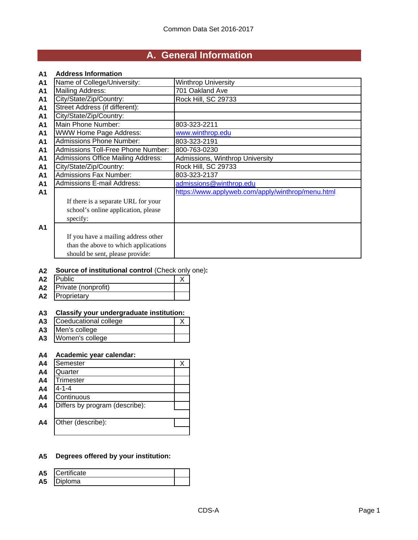# **A. General Information**

#### **A1 Address Information**

| A <sub>1</sub> | Name of College/University:               | <b>Winthrop University</b>                        |
|----------------|-------------------------------------------|---------------------------------------------------|
| <b>A1</b>      | <b>Mailing Address:</b>                   | 701 Oakland Ave                                   |
| A1             | City/State/Zip/Country:                   | Rock Hill, SC 29733                               |
| <b>A1</b>      | Street Address (if different):            |                                                   |
| A1             | City/State/Zip/Country:                   |                                                   |
| A <sub>1</sub> | Main Phone Number:                        | 803-323-2211                                      |
| A1             | <b>WWW Home Page Address:</b>             | www.winthrop.edu                                  |
| A1             | <b>Admissions Phone Number:</b>           | 803-323-2191                                      |
| <b>A1</b>      | Admissions Toll-Free Phone Number:        | 800-763-0230                                      |
| A <sub>1</sub> | <b>Admissions Office Mailing Address:</b> | Admissions, Winthrop University                   |
| A <sub>1</sub> | City/State/Zip/Country:                   | Rock Hill, SC 29733                               |
| A1             | <b>Admissions Fax Number:</b>             | 803-323-2137                                      |
| A1             | <b>Admissions E-mail Address:</b>         | admissions@winthrop.edu                           |
| A1             |                                           | https://www.applyweb.com/apply/winthrop/menu.html |
|                | If there is a separate URL for your       |                                                   |
|                | school's online application, please       |                                                   |
|                | specify:                                  |                                                   |
| A1             |                                           |                                                   |
|                | If you have a mailing address other       |                                                   |
|                | than the above to which applications      |                                                   |
|                |                                           |                                                   |
|                | should be sent, please provide:           |                                                   |

#### **A2 Source of institutional control** (Check only one)**:**

| A <sub>2</sub> | <b>Public</b>       |  |
|----------------|---------------------|--|
| A2             | Private (nonprofit) |  |
| A2             | Proprietary         |  |

## **A3 Classify your undergraduate institution:**

| A <sub>3</sub> | Coeducational college |  |
|----------------|-----------------------|--|
| A <sub>3</sub> | Men's college         |  |
| A <sub>3</sub> | Women's college       |  |
|                |                       |  |

## **A4 Academic year calendar:**

| A <sub>4</sub> | Semester                       |  |
|----------------|--------------------------------|--|
| A <sub>4</sub> | Quarter                        |  |
| A <sub>4</sub> | <b>Trimester</b>               |  |
| A <sub>4</sub> | $4 - 1 - 4$                    |  |
| A <sub>4</sub> | Continuous                     |  |
| A <sub>4</sub> | Differs by program (describe): |  |
|                |                                |  |
| A4             | Other (describe):              |  |
|                |                                |  |

#### **A5 Degrees offered by your institution:**

| <b>A5</b> | Certificate |  |
|-----------|-------------|--|
| A5        | Ioma        |  |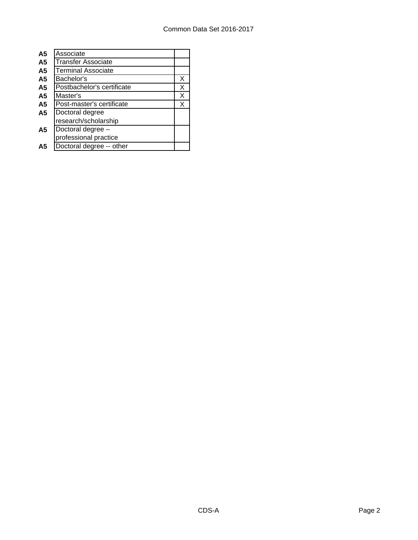| A <sub>5</sub> | Associate                  |   |
|----------------|----------------------------|---|
| A <sub>5</sub> | <b>Transfer Associate</b>  |   |
| A <sub>5</sub> | <b>Terminal Associate</b>  |   |
| A <sub>5</sub> | Bachelor's                 | Х |
| A <sub>5</sub> | Postbachelor's certificate | Х |
| A <sub>5</sub> | Master's                   | Х |
| A <sub>5</sub> | Post-master's certificate  | Х |
| A5             | Doctoral degree            |   |
|                | research/scholarship       |   |
| A5             | Doctoral degree -          |   |
|                | professional practice      |   |
| А5             | Doctoral degree -- other   |   |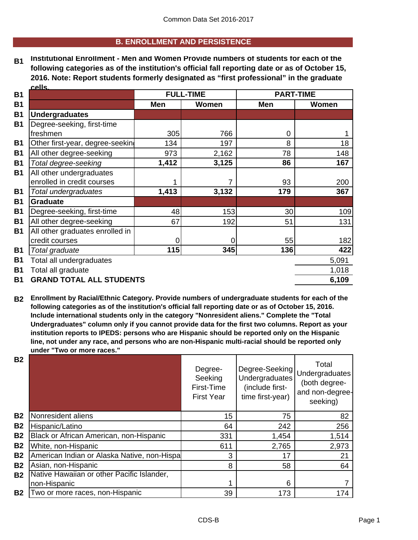## **B. ENROLLMENT AND PERSISTENCE**

**B1 Institutional Enrollment - Men and Women Provide numbers of students for each of the following categories as of the institution's official fall reporting date or as of October 15, 2016. Note: Report students formerly designated as "first professional" in the graduate cells.**

| <b>B1</b> |                                                        |       | <b>FULL-TIME</b> | <b>PART-TIME</b> |       |
|-----------|--------------------------------------------------------|-------|------------------|------------------|-------|
| <b>B1</b> |                                                        | Men   | <b>Women</b>     | Men              | Women |
| <b>B1</b> | <b>Undergraduates</b>                                  |       |                  |                  |       |
| <b>B1</b> | Degree-seeking, first-time                             |       |                  |                  |       |
|           | freshmen                                               | 305   | 766              | $\overline{0}$   |       |
| <b>B1</b> | Other first-year, degree-seeking                       | 134   | 197              | 8                | 18    |
| <b>B1</b> | All other degree-seeking                               | 973   | 2,162            | 78               | 148   |
| <b>B1</b> | Total degree-seeking                                   | 1,412 | 3,125            | 86               | 167   |
| <b>B1</b> | All other undergraduates<br>enrolled in credit courses |       |                  | 93               | 200   |
| <b>B1</b> | Total undergraduates                                   | 1,413 | 3,132            | 179              | 367   |
| <b>B1</b> | <b>Graduate</b>                                        |       |                  |                  |       |
| <b>B1</b> | Degree-seeking, first-time                             | 48    | 153              | 30               | 109   |
| <b>B1</b> | All other degree-seeking                               | 67    | 192              | 51               | 131   |
| <b>B1</b> | All other graduates enrolled in                        |       |                  |                  |       |
|           | credit courses                                         | 0     | 0                | 55               | 182   |
| <b>B1</b> | Total graduate                                         | 115   | 345              | 136              | 422   |
| <b>B1</b> | Total all undergraduates                               |       |                  |                  | 5,091 |
| <b>B1</b> | Total all graduate                                     |       |                  |                  | 1,018 |
| <b>B1</b> | <b>GRAND TOTAL ALL STUDENTS</b>                        |       |                  |                  | 6,109 |

**B2 Enrollment by Racial/Ethnic Category. Provide numbers of undergraduate students for each of the following categories as of the institution's official fall reporting date or as of October 15, 2016. Include international students only in the category "Nonresident aliens." Complete the "Total Undergraduates" column only if you cannot provide data for the first two columns. Report as your institution reports to IPEDS: persons who are Hispanic should be reported only on the Hispanic line, not under any race, and persons who are non-Hispanic multi-racial should be reported only under "Two or more races."** 

| <b>B2</b>      |                                             | Degree-<br>Seeking<br>First-Time<br><b>First Year</b> | Degree-Seeking<br><b>Undergraduates</b><br>(include first-<br>time first-year) | Total<br>Undergraduates<br>(both degree-<br>and non-degree-<br>seeking) |
|----------------|---------------------------------------------|-------------------------------------------------------|--------------------------------------------------------------------------------|-------------------------------------------------------------------------|
| B <sub>2</sub> | Nonresident aliens                          | 15                                                    | 75                                                                             | 82                                                                      |
| <b>B2</b>      | Hispanic/Latino                             | 64                                                    | 242                                                                            | 256                                                                     |
| <b>B2</b>      | Black or African American, non-Hispanic     | 331                                                   | 1,454                                                                          | 1,514                                                                   |
| <b>B2</b>      | White, non-Hispanic                         | 611                                                   | 2,765                                                                          | 2,973                                                                   |
| <b>B2</b>      | American Indian or Alaska Native, non-Hispa | 3                                                     | 17                                                                             | 21                                                                      |
| <b>B2</b>      | Asian, non-Hispanic                         | 8                                                     | 58                                                                             | 64                                                                      |
| <b>B2</b>      | Native Hawaiian or other Pacific Islander,  |                                                       |                                                                                |                                                                         |
|                | non-Hispanic                                |                                                       | 6                                                                              |                                                                         |
| <b>B2</b>      | Two or more races, non-Hispanic             | 39                                                    | 173                                                                            | 174                                                                     |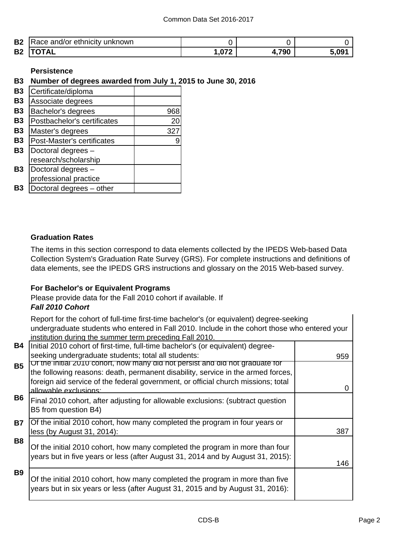| <b>B2</b> | າkn∩wn<br>unk.<br>or ethnicity<br>знν<br>,,,<br>ян |                  |     |       |
|-----------|----------------------------------------------------|------------------|-----|-------|
| <b>B2</b> |                                                    | .07 <sup>′</sup> | 700 | ∘מח ⊾ |

## **Persistence**

## **B3 Number of degrees awarded from July 1, 2015 to June 30, 2016**

| <b>B3</b> | Certificate/diploma         |     |
|-----------|-----------------------------|-----|
| <b>B3</b> | Associate degrees           |     |
| <b>B3</b> | Bachelor's degrees          | 968 |
| <b>B3</b> | Postbachelor's certificates | 20  |
| <b>B3</b> | Master's degrees            | 327 |
| <b>B3</b> | Post-Master's certificates  | 9   |
| <b>B3</b> | Doctoral degrees -          |     |
|           | research/scholarship        |     |
| <b>B3</b> | Doctoral degrees -          |     |
|           | professional practice       |     |
| Β3        | Doctoral degrees - other    |     |

## **Graduation Rates**

The items in this section correspond to data elements collected by the IPEDS Web-based Data Collection System's Graduation Rate Survey (GRS). For complete instructions and definitions of data elements, see the IPEDS GRS instructions and glossary on the 2015 Web-based survey.

### **For Bachelor's or Equivalent Programs**

Please provide data for the Fall 2010 cohort if available. If

## *Fall 2010 Cohort*

Report for the cohort of full-time first-time bachelor's (or equivalent) degree-seeking undergraduate students who entered in Fall 2010. Include in the cohort those who entered your institution during the summer term preceding Fall 2010.

| B4         | Initial 2010 cohort of first-time, full-time bachelor's (or equivalent) degree-                                                                                                                                                                                                        |     |
|------------|----------------------------------------------------------------------------------------------------------------------------------------------------------------------------------------------------------------------------------------------------------------------------------------|-----|
|            | seeking undergraduate students; total all students:                                                                                                                                                                                                                                    | 959 |
| <b>B5</b>  | <u>Ut the initial 2010 conort, now many did not persist and did not graduate for</u><br>the following reasons: death, permanent disability, service in the armed forces,<br>foreign aid service of the federal government, or official church missions; total<br>allowable exclusions: | O   |
| <b>B6</b>  | Final 2010 cohort, after adjusting for allowable exclusions: (subtract question<br>B5 from question B4)                                                                                                                                                                                |     |
| <b>B7</b>  | Of the initial 2010 cohort, how many completed the program in four years or<br>less (by August 31, 2014):                                                                                                                                                                              | 387 |
| <b>B8</b>  | Of the initial 2010 cohort, how many completed the program in more than four<br>years but in five years or less (after August 31, 2014 and by August 31, 2015):                                                                                                                        | 146 |
| <b>B</b> 9 | Of the initial 2010 cohort, how many completed the program in more than five<br>years but in six years or less (after August 31, 2015 and by August 31, 2016):                                                                                                                         |     |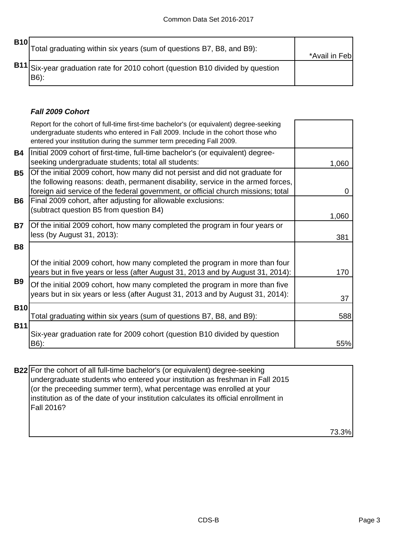| <b>B10</b> | Total graduating within six years (sum of questions B7, B8, and B9):                   | *Avail in Feb |
|------------|----------------------------------------------------------------------------------------|---------------|
|            | B11 Six-year graduation rate for 2010 cohort (question B10 divided by question<br>B6): |               |

## *Fall 2009 Cohort*

|            | Report for the cohort of full-time first-time bachelor's (or equivalent) degree-seeking<br>undergraduate students who entered in Fall 2009. Include in the cohort those who<br>entered your institution during the summer term preceding Fall 2009.    |       |
|------------|--------------------------------------------------------------------------------------------------------------------------------------------------------------------------------------------------------------------------------------------------------|-------|
| Β4         | Initial 2009 cohort of first-time, full-time bachelor's (or equivalent) degree-<br>seeking undergraduate students; total all students:                                                                                                                 | 1,060 |
| <b>B5</b>  | Of the initial 2009 cohort, how many did not persist and did not graduate for<br>the following reasons: death, permanent disability, service in the armed forces,<br>foreign aid service of the federal government, or official church missions; total | 0     |
| B6         | Final 2009 cohort, after adjusting for allowable exclusions:<br>(subtract question B5 from question B4)                                                                                                                                                | 1,060 |
| <b>B7</b>  | Of the initial 2009 cohort, how many completed the program in four years or<br>less (by August 31, 2013):                                                                                                                                              | 381   |
| <b>B8</b>  | Of the initial 2009 cohort, how many completed the program in more than four<br>years but in five years or less (after August 31, 2013 and by August 31, 2014):                                                                                        | 170   |
| B9         | Of the initial 2009 cohort, how many completed the program in more than five<br>years but in six years or less (after August 31, 2013 and by August 31, 2014):                                                                                         | 37    |
| <b>B10</b> | Total graduating within six years (sum of questions B7, B8, and B9):                                                                                                                                                                                   | 588   |
| <b>B11</b> | Six-year graduation rate for 2009 cohort (question B10 divided by question<br>B6):                                                                                                                                                                     | 55%   |

**B22** For the cohort of all full-time bachelor's (or equivalent) degree-seeking undergraduate students who entered your institution as freshman in Fall 2015 (or the preceeding summer term), what percentage was enrolled at your institution as of the date of your institution calculates its official enrollment in Fall 2016?

73.3%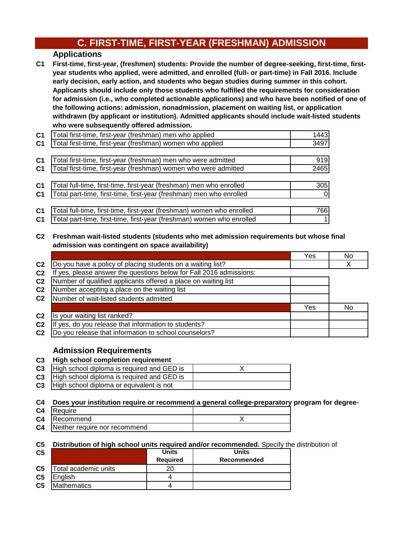## **C. FIRST-TIME, FIRST-YEAR (FRESHMAN) ADMISSION**

## **Applications**

**C1 First-time, first-year, (freshmen) students: Provide the number of degree-seeking, first-time, firstyear students who applied, were admitted, and enrolled (full- or part-time) in Fall 2016. Include early decision, early action, and students who began studies during summer in this cohort. Applicants should include only those students who fulfilled the requirements for consideration for admission (i.e., who completed actionable applications) and who have been notified of one of the following actions: admission, nonadmission, placement on waiting list, or application withdrawn (by applicant or institution). Admitted applicants should include wait-listed students who were subsequently offered admission.**

| C <sub>1</sub> | Total first-time, first-year (freshman) men who applied               | 1443     |
|----------------|-----------------------------------------------------------------------|----------|
| C <sub>1</sub> | Total first-time, first-year (freshman) women who applied             | 3497     |
|                |                                                                       |          |
| C <sub>1</sub> | Total first-time, first-year (freshman) men who were admitted         | 919      |
| C <sub>1</sub> | Total first-time, first-year (freshman) women who were admitted       | 2465     |
|                |                                                                       |          |
| C <sub>1</sub> | Total full-time, first-time, first-year (freshman) men who enrolled   | 305      |
| C <sub>1</sub> | Total part-time, first-time, first-year (freshman) men who enrolled   | $\Omega$ |
|                |                                                                       |          |
| C <sub>1</sub> | Total full-time, first-time, first-year (freshman) women who enrolled | 766      |
| C1             | Total part-time, first-time, first-year (freshman) women who enrolled |          |
|                |                                                                       |          |

### **C2 Freshman wait-listed students (students who met admission requirements but whose final admission was contingent on space availability)**

|                |                                                                  | Yes | No |
|----------------|------------------------------------------------------------------|-----|----|
| C <sub>2</sub> | Do you have a policy of placing students on a waiting list?      |     |    |
| C <sub>2</sub> | yes, please answer the questions below for Fall 2016 admissions: |     |    |
| C <sub>2</sub> | Number of qualified applicants offered a place on waiting list   |     |    |
| C <sub>2</sub> | Number accepting a place on the waiting list                     |     |    |
| C <sub>2</sub> | Number of wait-listed students admitted                          |     |    |
|                |                                                                  | Yes | No |
| C <sub>2</sub> | Is your waiting list ranked?                                     |     |    |
| C <sub>2</sub> | yes, do you release that information to students?<br>Ιf          |     |    |
| C <sub>2</sub> | Do you release that information to school counselors?            |     |    |

## **Admission Requirements**

### **C3 High school completion requirement**

| <b>C3</b> High school diploma is required and GED is   |  |
|--------------------------------------------------------|--|
| <b>C3</b>   High school diploma is required and GED is |  |
| <b>C3</b> High school diploma or equivalent is not     |  |

#### **C4 Does your institution require or recommend a general college-preparatory program for degree-**

| C4 | Require                       |  |
|----|-------------------------------|--|
|    | <b>C4</b> Recommend           |  |
| C4 | Neither require nor recommend |  |

### **C5 Distribution of high school units required and/or recommended.** Specify the distribution of

| C <sub>5</sub> |                      | <b>Units</b>    | <b>Units</b> |
|----------------|----------------------|-----------------|--------------|
|                |                      | <b>Required</b> | Recommended  |
| C <sub>5</sub> | Total academic units | 20              |              |
| C <sub>5</sub> | <b>IEnalish</b>      |                 |              |
| C <sub>5</sub> | <b>Mathematics</b>   |                 |              |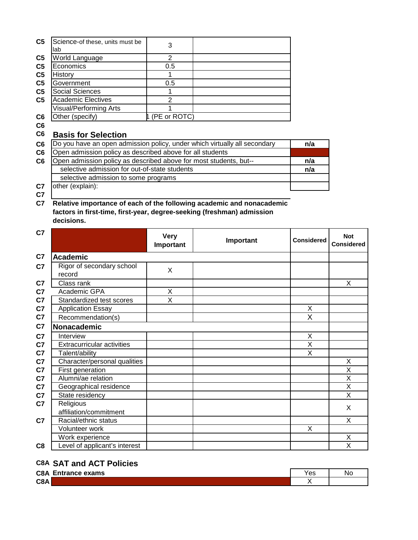| C <sub>5</sub> | Science-of these, units must be<br>lab                                    | 3            |                                                                       |     |
|----------------|---------------------------------------------------------------------------|--------------|-----------------------------------------------------------------------|-----|
| C <sub>5</sub> | World Language                                                            | 2            |                                                                       |     |
| C <sub>5</sub> | Economics                                                                 | 0.5          |                                                                       |     |
| C <sub>5</sub> | History                                                                   |              |                                                                       |     |
| C <sub>5</sub> | Government                                                                | 0.5          |                                                                       |     |
| C5             | <b>Social Sciences</b>                                                    |              |                                                                       |     |
| C5             | <b>Academic Electives</b>                                                 | 2            |                                                                       |     |
|                | Visual/Performing Arts                                                    |              |                                                                       |     |
| C6             | Other (specify)                                                           | (PE or ROTC) |                                                                       |     |
| C6             |                                                                           |              |                                                                       |     |
| C6             | <b>Basis for Selection</b>                                                |              |                                                                       |     |
| C6             | Do you have an open admission policy, under which virtually all secondary |              |                                                                       | n/a |
| C6             | Open admission policy as described above for all students                 |              |                                                                       |     |
| C6             | Open admission policy as described above for most students, but--         |              |                                                                       | n/a |
|                | selective admission for out-of-state students                             |              |                                                                       | n/a |
|                | selective admission to some programs                                      |              |                                                                       |     |
| C7             | other (explain):                                                          |              |                                                                       |     |
| C7             |                                                                           |              |                                                                       |     |
| C7             |                                                                           |              | Relative importance of each of the following academic and nonacademic |     |

**C7 Relative importance of each of the following academic and nonacademic factors in first-time, first-year, degree-seeking (freshman) admission decisions.**

| C7             |                                     | <b>Very</b><br>Important | Important | <b>Considered</b>       | <b>Not</b><br><b>Considered</b> |
|----------------|-------------------------------------|--------------------------|-----------|-------------------------|---------------------------------|
| C7             | <b>Academic</b>                     |                          |           |                         |                                 |
| C7             | Rigor of secondary school<br>record | X                        |           |                         |                                 |
| C7             | Class rank                          |                          |           |                         | X                               |
| C7             | Academic GPA                        | X                        |           |                         |                                 |
| C7             | Standardized test scores            | X                        |           |                         |                                 |
| C7             | <b>Application Essay</b>            |                          |           | X                       |                                 |
| C7             | Recommendation(s)                   |                          |           | X                       |                                 |
| C7             | Nonacademic                         |                          |           |                         |                                 |
| C7             | Interview                           |                          |           | X                       |                                 |
| C7             | <b>Extracurricular activities</b>   |                          |           | X                       |                                 |
| C7             | Talent/ability                      |                          |           | $\overline{\mathsf{x}}$ |                                 |
| C7             | Character/personal qualities        |                          |           |                         | X                               |
| C7             | First generation                    |                          |           |                         | Χ                               |
| C7             | Alumni/ae relation                  |                          |           |                         | $\overline{\mathsf{x}}$         |
| C7             | Geographical residence              |                          |           |                         | X                               |
| C7             | State residency                     |                          |           |                         | X                               |
| C7             | Religious<br>affiliation/commitment |                          |           |                         | X                               |
| C <sub>7</sub> | Racial/ethnic status                |                          |           |                         | X                               |
|                | Volunteer work                      |                          |           | X                       |                                 |
|                | Work experience                     |                          |           |                         | Χ                               |
| C8             | Level of applicant's interest       |                          |           |                         | X                               |

## **C8A SAT and ACT Policies**

| <b>C8A Entrance exams</b> | ∨ac<br>ాం | .Nc |
|---------------------------|-----------|-----|
| C8A                       |           |     |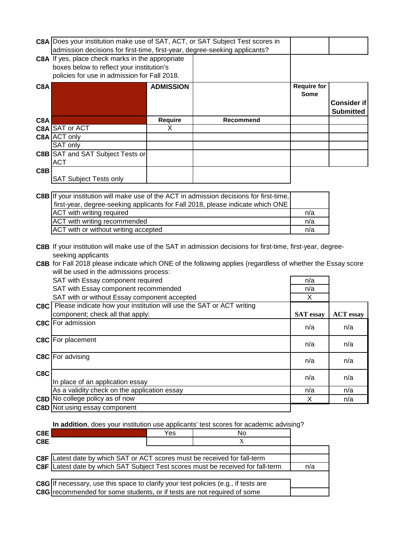|     | C8A Does your institution make use of SAT, ACT, or SAT Subject Test scores in<br>admission decisions for first-time, first-year, degree-seeking applicants?                                                                                      |                  |                                                                                         |                                   |                                        |
|-----|--------------------------------------------------------------------------------------------------------------------------------------------------------------------------------------------------------------------------------------------------|------------------|-----------------------------------------------------------------------------------------|-----------------------------------|----------------------------------------|
|     | C8A If yes, place check marks in the appropriate                                                                                                                                                                                                 |                  |                                                                                         |                                   |                                        |
|     | boxes below to reflect your institution's                                                                                                                                                                                                        |                  |                                                                                         |                                   |                                        |
|     | policies for use in admission for Fall 2018.                                                                                                                                                                                                     |                  |                                                                                         |                                   |                                        |
| C8A |                                                                                                                                                                                                                                                  | <b>ADMISSION</b> |                                                                                         | <b>Require for</b><br><b>Some</b> | <b>Consider if</b><br><b>Submitted</b> |
| C8A |                                                                                                                                                                                                                                                  | <b>Require</b>   | Recommend                                                                               |                                   |                                        |
|     | C8A SAT or ACT                                                                                                                                                                                                                                   | X                |                                                                                         |                                   |                                        |
|     | C8A ACT only                                                                                                                                                                                                                                     |                  |                                                                                         |                                   |                                        |
|     | SAT only                                                                                                                                                                                                                                         |                  |                                                                                         |                                   |                                        |
|     | <b>C8B SAT and SAT Subject Tests or</b>                                                                                                                                                                                                          |                  |                                                                                         |                                   |                                        |
|     | <b>ACT</b>                                                                                                                                                                                                                                       |                  |                                                                                         |                                   |                                        |
| C8B |                                                                                                                                                                                                                                                  |                  |                                                                                         |                                   |                                        |
|     | <b>SAT Subject Tests only</b>                                                                                                                                                                                                                    |                  |                                                                                         |                                   |                                        |
|     |                                                                                                                                                                                                                                                  |                  |                                                                                         |                                   |                                        |
|     |                                                                                                                                                                                                                                                  |                  | C8B If your institution will make use of the ACT in admission decisions for first-time, |                                   |                                        |
|     |                                                                                                                                                                                                                                                  |                  | first-year, degree-seeking applicants for Fall 2018, please indicate which ONE          |                                   |                                        |
|     | ACT with writing required                                                                                                                                                                                                                        |                  |                                                                                         | n/a                               |                                        |
|     | ACT with writing recommended                                                                                                                                                                                                                     |                  |                                                                                         | n/a<br>n/a                        |                                        |
|     | ACT with or without writing accepted                                                                                                                                                                                                             |                  |                                                                                         |                                   |                                        |
|     | C8B If your institution will make use of the SAT in admission decisions for first-time, first-year, degree-<br>seeking applicants<br>C8B for Fall 2018 please indicate which ONE of the following applies (regardless of whether the Essay score |                  |                                                                                         |                                   |                                        |
|     | will be used in the admissions process:                                                                                                                                                                                                          |                  |                                                                                         |                                   |                                        |
|     | SAT with Essay component required<br>SAT with Essay component recommended                                                                                                                                                                        |                  |                                                                                         | n/a<br>n/a                        |                                        |
|     | SAT with or without Essay component accepted                                                                                                                                                                                                     |                  |                                                                                         | X                                 |                                        |
|     | C8C Please indicate how your institution will use the SAT or ACT writing                                                                                                                                                                         |                  |                                                                                         |                                   |                                        |
|     | component; check all that apply:                                                                                                                                                                                                                 |                  |                                                                                         | <b>SAT</b> essay                  | <b>ACT</b> essay                       |
|     | <b>C8C</b> For admission                                                                                                                                                                                                                         |                  |                                                                                         |                                   |                                        |
|     |                                                                                                                                                                                                                                                  |                  |                                                                                         | n/a                               | n/a                                    |
|     | C8C For placement                                                                                                                                                                                                                                |                  |                                                                                         |                                   |                                        |
|     |                                                                                                                                                                                                                                                  |                  |                                                                                         | n/a                               | n/a                                    |
|     | C8C For advising                                                                                                                                                                                                                                 |                  |                                                                                         |                                   |                                        |
|     |                                                                                                                                                                                                                                                  |                  |                                                                                         | n/a                               | n/a                                    |
| C8C |                                                                                                                                                                                                                                                  |                  |                                                                                         |                                   |                                        |
|     | In place of an application essay                                                                                                                                                                                                                 |                  |                                                                                         | n/a                               | n/a                                    |
|     | As a validity check on the application essay                                                                                                                                                                                                     |                  |                                                                                         | n/a                               | n/a                                    |
|     | C8D No college policy as of now                                                                                                                                                                                                                  |                  |                                                                                         | Χ                                 | n/a                                    |
|     | <b>C8D</b> Not using essay component                                                                                                                                                                                                             |                  |                                                                                         |                                   |                                        |
|     |                                                                                                                                                                                                                                                  |                  |                                                                                         |                                   |                                        |
|     |                                                                                                                                                                                                                                                  |                  |                                                                                         |                                   |                                        |

**In addition**, does your institution use applicants' test scores for academic advising?

| Yes |   |                                                                                                                                                                                                                                                                                                                                                   |
|-----|---|---------------------------------------------------------------------------------------------------------------------------------------------------------------------------------------------------------------------------------------------------------------------------------------------------------------------------------------------------|
|     | X |                                                                                                                                                                                                                                                                                                                                                   |
|     |   |                                                                                                                                                                                                                                                                                                                                                   |
|     |   |                                                                                                                                                                                                                                                                                                                                                   |
|     |   | n/a                                                                                                                                                                                                                                                                                                                                               |
|     |   |                                                                                                                                                                                                                                                                                                                                                   |
|     |   |                                                                                                                                                                                                                                                                                                                                                   |
|     |   |                                                                                                                                                                                                                                                                                                                                                   |
|     |   | No<br><b>C8F</b> Latest date by which SAT or ACT scores must be received for fall-term<br>C8F Latest date by which SAT Subject Test scores must be received for fall-term<br><b>C8G</b> If necessary, use this space to clarify your test policies (e.g., if tests are<br>C8G recommended for some students, or if tests are not required of some |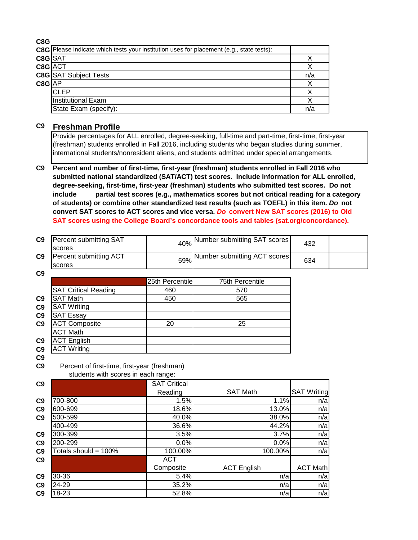**C8G**

|            | C8G   Please indicate which tests your institution uses for placement (e.g., state tests): |     |
|------------|--------------------------------------------------------------------------------------------|-----|
| C8G SAT    |                                                                                            |     |
| C8G ACT    |                                                                                            |     |
|            | <b>C8G</b> SAT Subject Tests                                                               | n/a |
| $C8G$ $AP$ |                                                                                            |     |
|            | <b>ICLEP</b>                                                                               |     |
|            | Institutional Exam                                                                         |     |
|            | State Exam (specify):                                                                      | n/a |

### **C9 Freshman Profile**

Provide percentages for ALL enrolled, degree-seeking, full-time and part-time, first-time, first-year (freshman) students enrolled in Fall 2016, including students who began studies during summer, international students/nonresident aliens, and students admitted under special arrangements.

**C9 Percent and number of first-time, first-year (freshman) students enrolled in Fall 2016 who submitted national standardized (SAT/ACT) test scores. Include information for ALL enrolled, degree-seeking, first-time, first-year (freshman) students who submitted test scores. Do not include partial test scores (e.g., mathematics scores but not critical reading for a category of students) or combine other standardized test results (such as TOEFL) in this item.** *Do* **not convert SAT scores to ACT scores and vice versa.** *Do* **convert New SAT scores (2016) to Old SAT scores using the College Board's concordance tools and tables (sat.org/concordance).**

| C <sub>9</sub> | Percent submitting SAT<br><b>Iscores</b> | 40% Number submitting SAT scores | 432 |  |
|----------------|------------------------------------------|----------------------------------|-----|--|
| C9             | Percent submitting ACT<br><b>Iscores</b> | 59% Number submitting ACT scores | 634 |  |
| C <sub>9</sub> |                                          |                                  |     |  |

|                |                             | 25th Percentile | 75th Percentile |
|----------------|-----------------------------|-----------------|-----------------|
|                | <b>SAT Critical Reading</b> | 460             | 570             |
| C <sub>9</sub> | <b>SAT Math</b>             | 450             | 565             |
| C9             | <b>SAT Writing</b>          |                 |                 |
| C9             | <b>SAT Essay</b>            |                 |                 |
| C <sub>9</sub> | <b>ACT Composite</b>        | 20              | 25              |
|                | <b>ACT Math</b>             |                 |                 |
| C <sub>9</sub> | <b>ACT English</b>          |                 |                 |
| C <sub>9</sub> | <b>ACT Writing</b>          |                 |                 |

**C9**

**C9** Percent of first-time, first-year (freshman) students with scores in each range:

| C9             |                         | <b>SAT Critical</b> |                    |                    |
|----------------|-------------------------|---------------------|--------------------|--------------------|
|                |                         | Reading             | <b>SAT Math</b>    | <b>SAT Writing</b> |
| C <sub>9</sub> | 700-800                 | 1.5%                | 1.1%               | n/a                |
| C9             | 600-699                 | 18.6%               | 13.0%              | n/a                |
| C <sub>9</sub> | 500-599                 | 40.0%               | 38.0%              | n/a                |
|                | 400-499                 | 36.6%               | 44.2%              | n/a                |
| C <sub>9</sub> | 300-399                 | 3.5%                | 3.7%               | n/a                |
| C <sub>9</sub> | 200-299                 | 0.0%                | 0.0%               | n/a                |
| C9             | Totals should = $100\%$ | 100.00%             | 100.00%            | n/a                |
| C9             |                         | <b>ACT</b>          |                    |                    |
|                |                         | Composite           | <b>ACT English</b> | <b>ACT Math</b>    |
| C <sub>9</sub> | 30-36                   | 5.4%                | n/a                | n/a                |
| C9             | 24-29                   | 35.2%               | n/a                | n/a                |
| C <sub>9</sub> | 18-23                   | 52.8%               | n/a                | n/a                |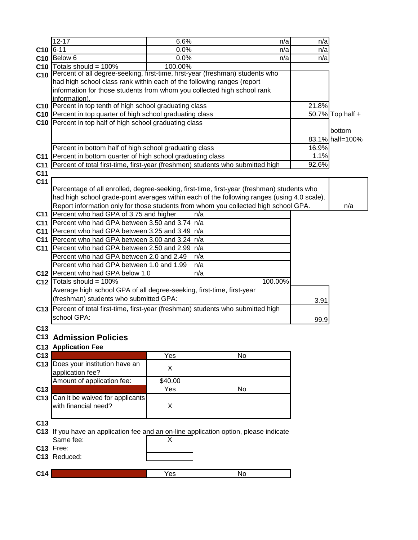|                 | $12 - 17$                                                                          | 6.6%    | n/a                                                                                         | n/a   |                  |
|-----------------|------------------------------------------------------------------------------------|---------|---------------------------------------------------------------------------------------------|-------|------------------|
| C <sub>10</sub> | $6 - 11$                                                                           | 0.0%    | n/a                                                                                         | n/a   |                  |
|                 | $C10$ Below 6                                                                      | 0.0%    | n/a                                                                                         | n/a   |                  |
| C <sub>10</sub> | Totals should = 100%                                                               | 100.00% |                                                                                             |       |                  |
| C10             | Percent of all degree-seeking, first-time, first-year (freshman) students who      |         |                                                                                             |       |                  |
|                 | had high school class rank within each of the following ranges (report             |         |                                                                                             |       |                  |
|                 | information for those students from whom you collected high school rank            |         |                                                                                             |       |                  |
|                 | information).                                                                      |         |                                                                                             |       |                  |
|                 | C10 Percent in top tenth of high school graduating class                           |         |                                                                                             | 21.8% |                  |
|                 | C10 Percent in top quarter of high school graduating class                         |         |                                                                                             |       | 50.7% Top half + |
|                 | C10 Percent in top half of high school graduating class                            |         |                                                                                             |       |                  |
|                 |                                                                                    |         |                                                                                             |       | bottom           |
|                 |                                                                                    |         |                                                                                             |       | 83.1% half=100%  |
|                 | Percent in bottom half of high school graduating class                             |         |                                                                                             | 16.9% |                  |
| C11             | Percent in bottom quarter of high school graduating class                          |         |                                                                                             | 1.1%  |                  |
| C <sub>11</sub> | Percent of total first-time, first-year (freshmen) students who submitted high     |         |                                                                                             | 92.6% |                  |
| C <sub>11</sub> |                                                                                    |         |                                                                                             |       |                  |
| C <sub>11</sub> |                                                                                    |         |                                                                                             |       |                  |
|                 |                                                                                    |         | Percentage of all enrolled, degree-seeking, first-time, first-year (freshman) students who  |       |                  |
|                 |                                                                                    |         | had high school grade-point averages within each of the following ranges (using 4.0 scale). |       |                  |
|                 |                                                                                    |         | Report information only for those students from whom you collected high school GPA.         |       | n/a              |
| C <sub>11</sub> | Percent who had GPA of 3.75 and higher                                             |         | n/a                                                                                         |       |                  |
| C <sub>11</sub> | Percent who had GPA between 3.50 and 3.74 In/a                                     |         |                                                                                             |       |                  |
| C <sub>11</sub> | Percent who had GPA between 3.25 and 3.49 In/a                                     |         |                                                                                             |       |                  |
| C11             | Percent who had GPA between 3.00 and 3.24 In/a                                     |         |                                                                                             |       |                  |
| C11             | Percent who had GPA between 2.50 and 2.99 n/a                                      |         |                                                                                             |       |                  |
|                 | Percent who had GPA between 2.0 and 2.49                                           |         | n/a                                                                                         |       |                  |
|                 | Percent who had GPA between 1.0 and 1.99                                           |         | n/a                                                                                         |       |                  |
|                 | C12 Percent who had GPA below 1.0                                                  |         | n/a                                                                                         |       |                  |
|                 | C12 $\vert$ Totals should = 100%                                                   |         | 100.00%                                                                                     |       |                  |
|                 | Average high school GPA of all degree-seeking, first-time, first-year              |         |                                                                                             |       |                  |
|                 | (freshman) students who submitted GPA:                                             |         |                                                                                             | 3.91  |                  |
|                 | C13 Percent of total first-time, first-year (freshman) students who submitted high |         |                                                                                             |       |                  |
|                 | school GPA:                                                                        |         |                                                                                             | 99.9  |                  |
| C <sub>13</sub> |                                                                                    |         |                                                                                             |       |                  |
|                 | <b>C13 Admission Policies</b>                                                      |         |                                                                                             |       |                  |
|                 | <b>C13 Application Fee</b>                                                         |         |                                                                                             |       |                  |
| C13             |                                                                                    | Yes     | No                                                                                          |       |                  |
|                 | C13 Does your institution have an                                                  |         |                                                                                             |       |                  |
|                 | application fee?                                                                   | X       |                                                                                             |       |                  |
|                 | Amount of application fee:                                                         | \$40.00 |                                                                                             |       |                  |
| C13             |                                                                                    | Yes     | No                                                                                          |       |                  |
|                 | C13 Can it be waived for applicants                                                |         |                                                                                             |       |                  |
|                 | with financial need?                                                               | X       |                                                                                             |       |                  |
|                 |                                                                                    |         |                                                                                             |       |                  |
| C <sub>13</sub> |                                                                                    |         |                                                                                             |       |                  |
|                 |                                                                                    |         | C13 If you have an application fee and an on-line application option, please indicate       |       |                  |
|                 | Same fee:                                                                          | Х       |                                                                                             |       |                  |
|                 | C13 Free:                                                                          |         |                                                                                             |       |                  |
|                 | C13 Reduced:                                                                       |         |                                                                                             |       |                  |
|                 |                                                                                    |         |                                                                                             |       |                  |
| C <sub>14</sub> |                                                                                    | Yes     | No                                                                                          |       |                  |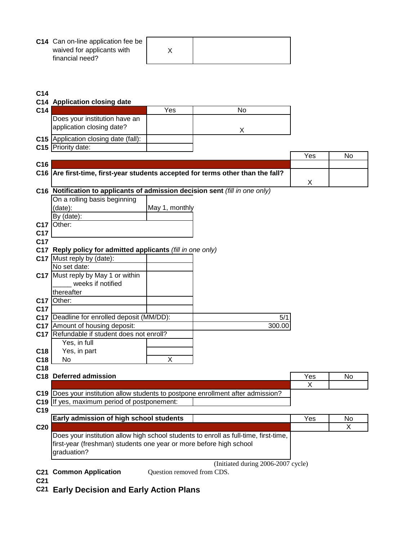| C14 Can on-line application fee be |  |
|------------------------------------|--|
| waived for applicants with         |  |
| financial need?                    |  |

#### **C14**

## **C14 Application closing date C14** Yes No Does your institution have an application closing date? <br>
X **C15** Application closing date (fall): **C15** Priority date: Yes No **C16 C16 Are first-time, first-year students accepted for terms other than the fall?** X **C16 Notification to applicants of admission decision sent** *(fill in one only)* On a rolling basis beginning (date): May 1, monthly By (date): **C17** Other: **C17 C17 C17 Reply policy for admitted applicants** *(fill in one only)* **C17** Must reply by (date): No set date: **C17** Must reply by May 1 or within \_\_\_\_\_ weeks if notified thereafter **C17** Other: **C17 C17** Deadline for enrolled deposit (MM/DD):  $\qquad \qquad$  | C17 Amount of housing deposit: 300.00 **C17** Refundable if student does not enroll? Yes, in full **C18** Yes, in part **C18** No X **C18 C18 Deferred admission** No. 2012 **No. 2013 12:20 No. 2013 12:20 No. 2013 12:20 No. 2013 12:20 No. 2013 12:20 No. 2014 12:20 No. 2014 12:20 No. 2014 12:20 No. 2014 12:20 No. 2014 12:20 No. 2014 12:20 No. 2014 12:20 No. 2** X **C19** Does your institution allow students to postpone enrollment after admission? **C19** If yes, maximum period of postponement: **C19**

| v I J           |                                                                                      |     |    |
|-----------------|--------------------------------------------------------------------------------------|-----|----|
|                 | <b>Early admission of high school students</b>                                       | Yes | No |
| C <sub>20</sub> |                                                                                      |     |    |
|                 | Does your institution allow high school students to enroll as full-time, first-time, |     |    |
|                 | first-year (freshman) students one year or more before high school                   |     |    |
|                 | graduation?                                                                          |     |    |

**C21 Common Application**

(Initiated during 2006-2007 cycle) Question removed from CDS.

- **C21**
- **C21 Early Decision and Early Action Plans**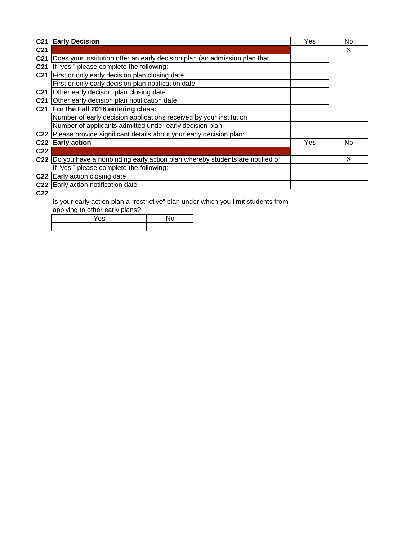|                 | <b>C21 Early Decision</b>                                                       | Yes | No |
|-----------------|---------------------------------------------------------------------------------|-----|----|
| C <sub>21</sub> |                                                                                 |     | X  |
| C <sub>21</sub> | Does your institution offer an early decision plan (an admission plan that      |     |    |
| C <sub>21</sub> | If "yes," please complete the following:                                        |     |    |
|                 | C21 First or only early decision plan closing date                              |     |    |
|                 | First or only early decision plan notification date                             |     |    |
| C <sub>21</sub> | Other early decision plan closing date                                          |     |    |
| C <sub>21</sub> | Other early decision plan notification date                                     |     |    |
|                 | C21 For the Fall 2016 entering class:                                           |     |    |
|                 | Number of early decision applications received by your institution              |     |    |
|                 | Number of applicants admitted under early decision plan                         |     |    |
|                 | C22   Please provide significant details about your early decision plan:        |     |    |
|                 | C22 Early action                                                                | Yes | No |
| C <sub>22</sub> |                                                                                 |     |    |
|                 | C22 Do you have a nonbinding early action plan whereby students are notified of |     | X  |
|                 | If "yes," please complete the following:                                        |     |    |
|                 | C22 Early action closing date                                                   |     |    |
|                 | C22 Early action notification date                                              |     |    |

**C22**

Is your early action plan a "restrictive" plan under which you limit students from

applying to other early plans?

Yes | No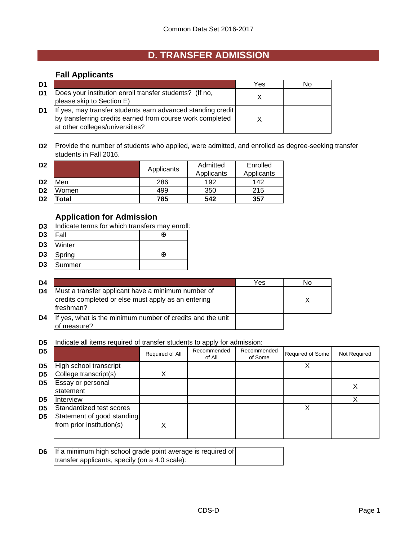# **D. TRANSFER ADMISSION**

## **Fall Applicants**

| D1 |                                                                                                                                                             | Yes | N٥ |
|----|-------------------------------------------------------------------------------------------------------------------------------------------------------------|-----|----|
| D1 | Does your institution enroll transfer students? (If no,<br>please skip to Section E)                                                                        |     |    |
| D1 | If yes, may transfer students earn advanced standing credit<br>by transferring credits earned from course work completed<br>at other colleges/universities? |     |    |

**D2** Provide the number of students who applied, were admitted, and enrolled as degree-seeking transfer students in Fall 2016.

| D <sub>2</sub> |            | Applicants | Admitted<br>Applicants | Enrolled<br>Applicants |
|----------------|------------|------------|------------------------|------------------------|
| D <sub>2</sub> | <b>Men</b> | 286        | 192                    | 142                    |
| D <sub>2</sub> | Women      | 499        | 350                    | 215                    |
| D <sub>2</sub> | 'otal      | 785        | 542                    | 357                    |

## **Application for Admission**

- **D3** Indicate terms for which transfers may enroll:
- D3 |Fall <del>函</del>
- **D3** Winter
- **D3** Spring W
- **D3** Summer

| D4 |                                                                                                                         | Yes | No |
|----|-------------------------------------------------------------------------------------------------------------------------|-----|----|
| D4 | Must a transfer applicant have a minimum number of<br>credits completed or else must apply as an entering<br>Ifreshman? |     |    |
| D4 | If yes, what is the minimum number of credits and the unit<br>of measure?                                               |     |    |

**D5** Indicate all items required of transfer students to apply for admission:

| D <sub>5</sub> |                                                         | Required of All | Recommended<br>of All | Recommended<br>of Some | Required of Some | Not Required |
|----------------|---------------------------------------------------------|-----------------|-----------------------|------------------------|------------------|--------------|
| D <sub>5</sub> | High school transcript                                  |                 |                       |                        |                  |              |
| D <sub>5</sub> | College transcript(s)                                   |                 |                       |                        |                  |              |
| D5             | Essay or personal<br>statement                          |                 |                       |                        |                  |              |
| D5             | <b>Interview</b>                                        |                 |                       |                        |                  |              |
| D <sub>5</sub> | Standardized test scores                                |                 |                       |                        |                  |              |
| D <sub>5</sub> | Statement of good standing<br>from prior institution(s) | X               |                       |                        |                  |              |

| <b>D6</b> If a minimum high school grade point average is required of |  |
|-----------------------------------------------------------------------|--|
| transfer applicants, specify (on a 4.0 scale):                        |  |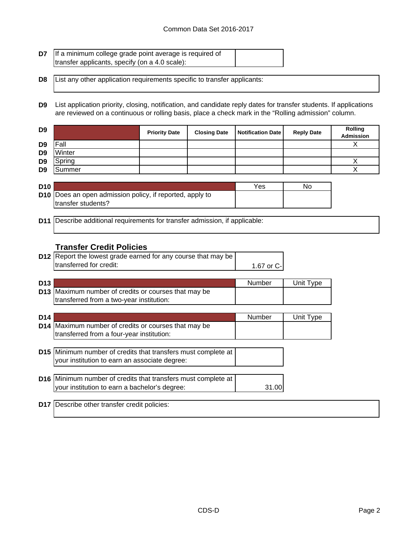| <b>D7</b> If a minimum college grade point average is required of |  |
|-------------------------------------------------------------------|--|
| transfer applicants, specify (on a 4.0 scale):                    |  |

**D8** List any other application requirements specific to transfer applicants:

**D9** List application priority, closing, notification, and candidate reply dates for transfer students. If applications are reviewed on a continuous or rolling basis, place a check mark in the "Rolling admission" column.

| D <sub>9</sub> |        | <b>Priority Date</b> | <b>Closing Date</b> | <b>Notification Date</b> | <b>Reply Date</b> | <b>Rolling</b><br>Admission |
|----------------|--------|----------------------|---------------------|--------------------------|-------------------|-----------------------------|
| D <sub>9</sub> | Fall   |                      |                     |                          |                   |                             |
| D <sub>9</sub> | Winter |                      |                     |                          |                   |                             |
| D <sub>9</sub> | Spring |                      |                     |                          |                   |                             |
| D <sub>9</sub> | Summer |                      |                     |                          |                   |                             |

| <b>D10</b> |                                                                 | Yes | No |
|------------|-----------------------------------------------------------------|-----|----|
|            | <b>D10</b> Does an open admission policy, if reported, apply to |     |    |
|            | transfer students?                                              |     |    |

**D11** Describe additional requirements for transfer admission, if applicable:

## **Transfer Credit Policies**

| <b>D12</b> Report the lowest grade earned for any course that may be |            |
|----------------------------------------------------------------------|------------|
| transferred for credit:                                              | 1.67 or C- |

| D <sub>13</sub> |                                                             | Number | Unit Type |
|-----------------|-------------------------------------------------------------|--------|-----------|
|                 | <b>D13</b> Maximum number of credits or courses that may be |        |           |
|                 | transferred from a two-year institution:                    |        |           |

| D <sub>14</sub> |                                                                                                                  | Number | Unit Type |
|-----------------|------------------------------------------------------------------------------------------------------------------|--------|-----------|
|                 | D14 Maximum number of credits or courses that may be<br>transferred from a four-year institution:                |        |           |
|                 | D15   Minimum number of credits that transfers must complete at<br>your institution to earn an associate degree: |        |           |
|                 | D16 Minimum number of credits that transfers must complete at<br>your institution to earn a bachelor's degree:   | .31 OG |           |

**D17** Describe other transfer credit policies: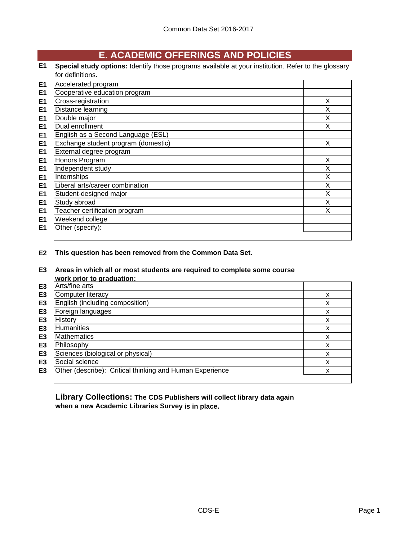# **E. ACADEMIC OFFERINGS AND POLICIES**

**E1 Special study options:** Identify those programs available at your institution. Refer to the glossary for definitions.

| E <sub>1</sub> | Accelerated program                 |   |
|----------------|-------------------------------------|---|
| E <sub>1</sub> | Cooperative education program       |   |
| E <sub>1</sub> | Cross-registration                  | X |
| E <sub>1</sub> | Distance learning                   | Χ |
| E <sub>1</sub> | Double major                        | X |
| E <sub>1</sub> | Dual enrollment                     | x |
| E <sub>1</sub> | English as a Second Language (ESL)  |   |
| E <sub>1</sub> | Exchange student program (domestic) | X |
| E <sub>1</sub> | External degree program             |   |
| E <sub>1</sub> | Honors Program                      | X |
| E <sub>1</sub> | Independent study                   | X |
| E <sub>1</sub> | Internships                         | X |
| E <sub>1</sub> | Liberal arts/career combination     | X |
| E <sub>1</sub> | Student-designed major              | X |
| E <sub>1</sub> | Study abroad                        | X |
| E <sub>1</sub> | Teacher certification program       | X |
| E <sub>1</sub> | Weekend college                     |   |
| E1             | Other (specify):                    |   |
|                |                                     |   |

**E2 This question has been removed from the Common Data Set.**

**E3 Areas in which all or most students are required to complete some course work prior to graduation:**

|                | <b>WUIN DITUL to GIQUATION.</b>                          |   |
|----------------|----------------------------------------------------------|---|
| E3             | Arts/fine arts                                           |   |
| E3             | <b>Computer literacy</b>                                 | x |
| E <sub>3</sub> | English (including composition)                          | x |
| E <sub>3</sub> | Foreign languages                                        | х |
| E3             | History                                                  | x |
| E3             | Humanities                                               | х |
| E <sub>3</sub> | <b>Mathematics</b>                                       | x |
| E <sub>3</sub> | Philosophy                                               | x |
| E <sub>3</sub> | Sciences (biological or physical)                        | x |
| E <sub>3</sub> | Social science                                           | x |
| E <sub>3</sub> | Other (describe): Critical thinking and Human Experience | x |
|                |                                                          |   |

**Library Collections: The CDS Publishers will collect library data again when a new Academic Libraries Survey is in place.**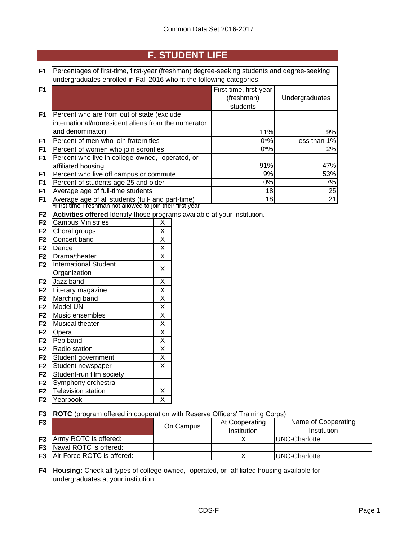# **F. STUDENT LIFE**

| F <sub>1</sub>                                                         | Percentages of first-time, first-year (freshman) degree-seeking students and degree-seeking                    |                         |  |                        |                |
|------------------------------------------------------------------------|----------------------------------------------------------------------------------------------------------------|-------------------------|--|------------------------|----------------|
| undergraduates enrolled in Fall 2016 who fit the following categories: |                                                                                                                |                         |  |                        |                |
| F1                                                                     |                                                                                                                |                         |  | First-time, first-year |                |
|                                                                        |                                                                                                                |                         |  | (freshman)             | Undergraduates |
|                                                                        |                                                                                                                |                         |  | students               |                |
| F <sub>1</sub>                                                         | Percent who are from out of state (exclude                                                                     |                         |  |                        |                |
|                                                                        | international/nonresident aliens from the numerator                                                            |                         |  |                        |                |
|                                                                        | and denominator)                                                                                               |                         |  | 11%                    | 9%             |
| F <sub>1</sub>                                                         | Percent of men who join fraternities                                                                           |                         |  | $0*%$                  | less than 1%   |
| F <sub>1</sub>                                                         | Percent of women who join sororities                                                                           |                         |  | $0*%$                  | 2%             |
| F <sub>1</sub>                                                         | Percent who live in college-owned, -operated, or -                                                             |                         |  |                        |                |
|                                                                        | affiliated housing                                                                                             |                         |  | 91%                    | 47%            |
| F <sub>1</sub>                                                         | Percent who live off campus or commute                                                                         |                         |  | 9%                     | 53%            |
| F <sub>1</sub>                                                         | Percent of students age 25 and older                                                                           |                         |  | 0%                     | 7%             |
| F <sub>1</sub>                                                         | Average age of full-time students                                                                              |                         |  | 18                     | 25             |
| F <sub>1</sub>                                                         | Average age of all students (full- and part-time)<br>*First time Freshman not allowed to join their first year |                         |  | 18                     | 21             |
|                                                                        |                                                                                                                |                         |  |                        |                |
| F <sub>2</sub>                                                         | Activities offered Identify those programs available at your institution.                                      |                         |  |                        |                |
| F <sub>2</sub>                                                         | <b>Campus Ministries</b>                                                                                       | X                       |  |                        |                |
| F <sub>2</sub>                                                         | Choral groups                                                                                                  | $\sf X$                 |  |                        |                |
| F <sub>2</sub>                                                         | Concert band                                                                                                   | $\sf X$                 |  |                        |                |
| F <sub>2</sub>                                                         | Dance                                                                                                          | X                       |  |                        |                |
| F <sub>2</sub>                                                         | Drama/theater                                                                                                  | X                       |  |                        |                |
| F <sub>2</sub>                                                         | <b>International Student</b>                                                                                   | X                       |  |                        |                |
|                                                                        | Organization                                                                                                   |                         |  |                        |                |
| F <sub>2</sub>                                                         | Jazz band                                                                                                      | $\overline{X}$          |  |                        |                |
| F <sub>2</sub>                                                         | Literary magazine                                                                                              | $\overline{\mathsf{X}}$ |  |                        |                |
| F <sub>2</sub>                                                         | Marching band                                                                                                  | $\overline{\mathsf{X}}$ |  |                        |                |
| F <sub>2</sub>                                                         | Model UN                                                                                                       | X                       |  |                        |                |
| F <sub>2</sub>                                                         | Music ensembles                                                                                                | $\overline{\mathsf{x}}$ |  |                        |                |
| F <sub>2</sub>                                                         | Musical theater                                                                                                | $\overline{\mathsf{x}}$ |  |                        |                |
| F <sub>2</sub>                                                         | Opera                                                                                                          | $\overline{\mathsf{x}}$ |  |                        |                |
| F <sub>2</sub>                                                         | Pep band                                                                                                       | $\overline{\mathsf{x}}$ |  |                        |                |
| F <sub>2</sub>                                                         | Radio station                                                                                                  | $\overline{\mathsf{x}}$ |  |                        |                |
| F <sub>2</sub>                                                         | Student government                                                                                             | $\overline{X}$          |  |                        |                |
| F <sub>2</sub>                                                         | Student newspaper                                                                                              | $\overline{X}$          |  |                        |                |
| F <sub>2</sub>                                                         | Student-run film society                                                                                       |                         |  |                        |                |

- **F2** Symphony orchestra
- **F2** Television station X<br>**F2** Yearbook X **F2** Yearbook

**F3 ROTC** (program offered in cooperation with Reserve Officers' Training Corps)

| F <sub>3</sub> |                                      | On Campus | At Cooperating<br>Institution | Name of Cooperating<br>Institution |
|----------------|--------------------------------------|-----------|-------------------------------|------------------------------------|
|                | <b>F3</b> Army ROTC is offered:      |           |                               | UNC-Charlotte                      |
|                | <b>F3</b> Naval ROTC is offered:     |           |                               |                                    |
|                | <b>F3</b> Air Force ROTC is offered: |           |                               | UNC-Charlotte                      |

**F4 Housing:** Check all types of college-owned, -operated, or -affiliated housing available for undergraduates at your institution.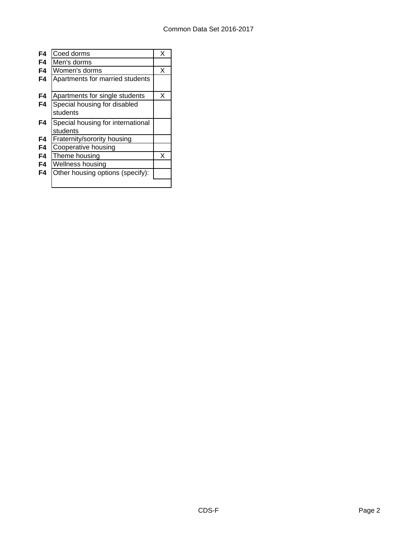| F4 | Coed dorms                        | х |
|----|-----------------------------------|---|
| F4 | Men's dorms                       |   |
| F4 | Women's dorms                     | X |
| F4 | Apartments for married students   |   |
|    |                                   |   |
| F4 | Apartments for single students    | х |
| F4 | Special housing for disabled      |   |
|    | students                          |   |
| F4 | Special housing for international |   |
|    | students                          |   |
| F4 | Fraternity/sorority housing       |   |
| F4 | Cooperative housing               |   |
| F4 | Theme housing                     | x |
| F4 | Wellness housing                  |   |
| F4 | Other housing options (specify):  |   |
|    |                                   |   |
|    |                                   |   |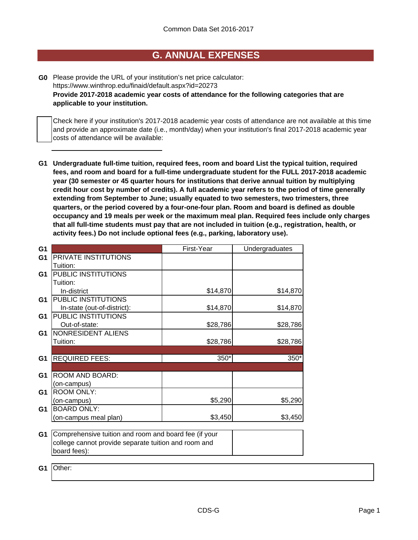## **G. ANNUAL EXPENSES**

**G0** Please provide the URL of your institution's net price calculator: **Provide 2017-2018 academic year costs of attendance for the following categories that are applicable to your institution.** https://www.winthrop.edu/finaid/default.aspx?id=20273

Check here if your institution's 2017-2018 academic year costs of attendance are not available at this time and provide an approximate date (i.e., month/day) when your institution's final 2017-2018 academic year costs of attendance will be available:

**G1 Undergraduate full-time tuition, required fees, room and board List the typical tuition, required fees, and room and board for a full-time undergraduate student for the FULL 2017-2018 academic year (30 semester or 45 quarter hours for institutions that derive annual tuition by multiplying credit hour cost by number of credits). A full academic year refers to the period of time generally extending from September to June; usually equated to two semesters, two trimesters, three quarters, or the period covered by a four-one-four plan. Room and board is defined as double occupancy and 19 meals per week or the maximum meal plan. Required fees include only charges that all full-time students must pay that are not included in tuition (e.g., registration, health, or activity fees.) Do not include optional fees (e.g., parking, laboratory use).**

| G <sub>1</sub> |                                                       | First-Year | Undergraduates |
|----------------|-------------------------------------------------------|------------|----------------|
| G <sub>1</sub> | PRIVATE INSTITUTIONS                                  |            |                |
|                | Tuition:                                              |            |                |
| G <sub>1</sub> | PUBLIC INSTITUTIONS                                   |            |                |
|                | Tuition:                                              |            |                |
|                | In-district                                           | \$14,870   | \$14,870       |
| G1             | PUBLIC INSTITUTIONS                                   |            |                |
|                | In-state (out-of-district):                           | \$14,870   | \$14,870       |
| G1             | PUBLIC INSTITUTIONS                                   |            |                |
|                | Out-of-state:                                         | \$28,786   | \$28,786       |
| G <sub>1</sub> | NONRESIDENT ALIENS                                    |            |                |
|                | Tuition:                                              | \$28,786   | \$28,786       |
|                |                                                       |            |                |
| G <sub>1</sub> | <b>REQUIRED FEES:</b>                                 | $350*$     | 350*           |
|                |                                                       |            |                |
| G <sub>1</sub> | ROOM AND BOARD:                                       |            |                |
|                | (on-campus)                                           |            |                |
| G <sub>1</sub> | <b>ROOM ONLY:</b>                                     |            |                |
|                | (on-campus)                                           | \$5,290    | \$5,290        |
| G <sub>1</sub> | <b>BOARD ONLY:</b>                                    |            |                |
|                | (on-campus meal plan)                                 | \$3,450    | \$3,450        |
|                |                                                       |            |                |
| G <sub>1</sub> | Comprehensive tuition and room and board fee (if your |            |                |
|                | college cannot provide separate tuition and room and  |            |                |
|                | board fees):                                          |            |                |
|                |                                                       |            |                |

**G1** Other: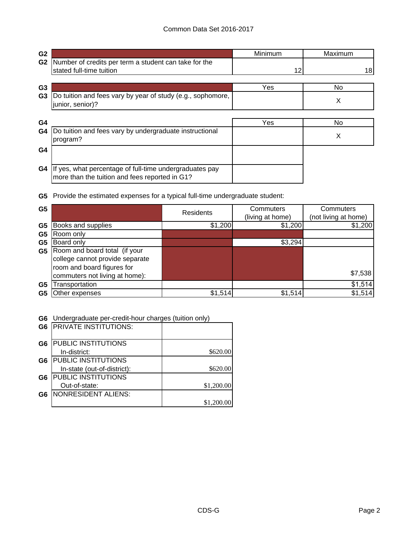| G <sub>2</sub> |                                                                                                           | Minimum | Maximum |
|----------------|-----------------------------------------------------------------------------------------------------------|---------|---------|
| G <sub>2</sub> | Number of credits per term a student can take for the                                                     |         |         |
|                | stated full-time tuition                                                                                  | 12      | 18      |
| G <sub>3</sub> |                                                                                                           | Yes     | No.     |
| G <sub>3</sub> | Do tuition and fees vary by year of study (e.g., sophomore,<br>junior, senior)?                           |         | X       |
| G <sub>4</sub> |                                                                                                           | Yes     | No.     |
| G4             | Do tuition and fees vary by undergraduate instructional<br>program?                                       |         | X       |
| G4             |                                                                                                           |         |         |
| G4             | If yes, what percentage of full-time undergraduates pay<br>more than the tuition and fees reported in G1? |         |         |

**G5** Provide the estimated expenses for a typical full-time undergraduate student:

| G <sub>5</sub> |                                 | <b>Residents</b> | Commuters<br>(living at home) | Commuters<br>(not living at home) |  |
|----------------|---------------------------------|------------------|-------------------------------|-----------------------------------|--|
| G <sub>5</sub> | Books and supplies              | \$1,200          | \$1,200                       | \$1,200                           |  |
| G <sub>5</sub> | Room only                       |                  |                               |                                   |  |
| G5             | Board only                      |                  | \$3,294                       |                                   |  |
| G5             | Room and board total (if your   |                  |                               |                                   |  |
|                | college cannot provide separate |                  |                               |                                   |  |
|                | room and board figures for      |                  |                               |                                   |  |
|                | commuters not living at home):  |                  |                               | \$7,538                           |  |
| G5             | Transportation                  |                  |                               | \$1,514                           |  |
| G5             | Other expenses                  | \$1,514          | \$1,514                       | \$1,514                           |  |

#### **G6** Undergraduate per-credit-hour charges (tuition only)

| G <sub>6</sub> | <b>PRIVATE INSTITUTIONS:</b> |            |
|----------------|------------------------------|------------|
| G <sub>6</sub> | PUBLIC INSTITUTIONS          |            |
|                | In-district:                 | \$620.00   |
| G6             | PUBLIC INSTITUTIONS          |            |
|                | In-state (out-of-district):  | \$620.00   |
| G <sub>6</sub> | PUBLIC INSTITUTIONS          |            |
|                | Out-of-state:                | \$1,200.00 |
| G6             | <b>NONRESIDENT ALIENS:</b>   |            |
|                |                              | \$1,200.00 |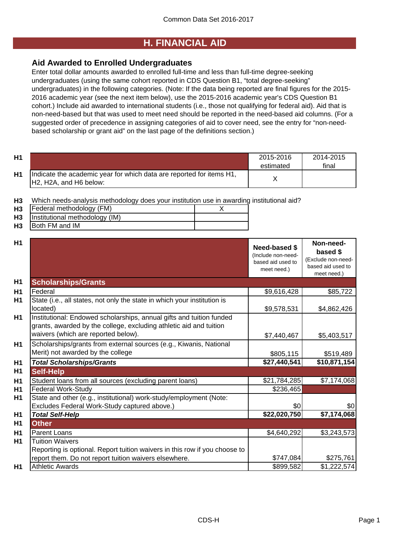## **H. FINANCIAL AID**

## **Aid Awarded to Enrolled Undergraduates**

Enter total dollar amounts awarded to enrolled full-time and less than full-time degree-seeking undergraduates (using the same cohort reported in CDS Question B1, "total degree-seeking" undergraduates) in the following categories. (Note: If the data being reported are final figures for the 2015- 2016 academic year (see the next item below), use the 2015-2016 academic year's CDS Question B1 cohort.) Include aid awarded to international students (i.e., those not qualifying for federal aid). Aid that is non-need-based but that was used to meet need should be reported in the need-based aid columns. (For a suggested order of precedence in assigning categories of aid to cover need, see the entry for "non-needbased scholarship or grant aid" on the last page of the definitions section.)

| H <sub>1</sub> |                                                                                                                                      | 2015-2016<br>estimated | 2014-2015<br>final |
|----------------|--------------------------------------------------------------------------------------------------------------------------------------|------------------------|--------------------|
| Η1             | Indicate the academic year for which data are reported for items H1,<br>H <sub>2</sub> , H <sub>2</sub> A, and H <sub>6</sub> below: |                        |                    |

**H3** Which needs-analysis methodology does your institution use in awarding institutional aid?

| H <sub>3</sub> | Federal methodology (FM)       |  |
|----------------|--------------------------------|--|
| H <sub>3</sub> | Institutional methodology (IM) |  |
|                |                                |  |

**H3** Both FM and IM

| H <sub>1</sub> |                                                                                                                                                                                   | <b>Need-based \$</b><br>(Include non-need-<br>based aid used to<br>meet need.) | Non-need-<br>based \$<br>(Exclude non-need-<br>based aid used to<br>meet need.) |
|----------------|-----------------------------------------------------------------------------------------------------------------------------------------------------------------------------------|--------------------------------------------------------------------------------|---------------------------------------------------------------------------------|
| H <sub>1</sub> | <b>Scholarships/Grants</b>                                                                                                                                                        |                                                                                |                                                                                 |
| H1             | Federal                                                                                                                                                                           | \$9,616,428                                                                    | \$85,722                                                                        |
| <b>H1</b>      | State (i.e., all states, not only the state in which your institution is<br>located)                                                                                              | \$9,578,531                                                                    | \$4,862,426                                                                     |
| <b>H1</b>      | Institutional: Endowed scholarships, annual gifts and tuition funded<br>grants, awarded by the college, excluding athletic aid and tuition<br>waivers (which are reported below). | \$7,440,467                                                                    | \$5,403,517                                                                     |
| H1             | Scholarships/grants from external sources (e.g., Kiwanis, National<br>Merit) not awarded by the college                                                                           | \$805,115                                                                      | \$519,489                                                                       |
| H <sub>1</sub> | <b>Total Scholarships/Grants</b>                                                                                                                                                  | \$27,440,541                                                                   | \$10,871,154                                                                    |
| H <sub>1</sub> | <b>Self-Help</b>                                                                                                                                                                  |                                                                                |                                                                                 |
| H <sub>1</sub> | Student loans from all sources (excluding parent loans)                                                                                                                           | \$21,784,285                                                                   | \$7,174,068                                                                     |
| H <sub>1</sub> | <b>Federal Work-Study</b>                                                                                                                                                         | \$236,465                                                                      |                                                                                 |
| H1             | State and other (e.g., institutional) work-study/employment (Note:                                                                                                                |                                                                                |                                                                                 |
|                | Excludes Federal Work-Study captured above.)                                                                                                                                      | \$0                                                                            | \$0                                                                             |
| H1             | <b>Total Self-Help</b>                                                                                                                                                            | \$22,020,750                                                                   | \$7,174,068                                                                     |
| H1             | <b>Other</b>                                                                                                                                                                      |                                                                                |                                                                                 |
| H <sub>1</sub> | Parent Loans                                                                                                                                                                      | \$4,640,292                                                                    | \$3,243,573                                                                     |
| <b>H1</b>      | <b>Tuition Waivers</b><br>Reporting is optional. Report tuition waivers in this row if you choose to                                                                              |                                                                                |                                                                                 |
|                | report them. Do not report tuition waivers elsewhere.                                                                                                                             | \$747,084                                                                      | \$275,761                                                                       |
| H1             | <b>Athletic Awards</b>                                                                                                                                                            | \$899,582                                                                      | \$1,222,574                                                                     |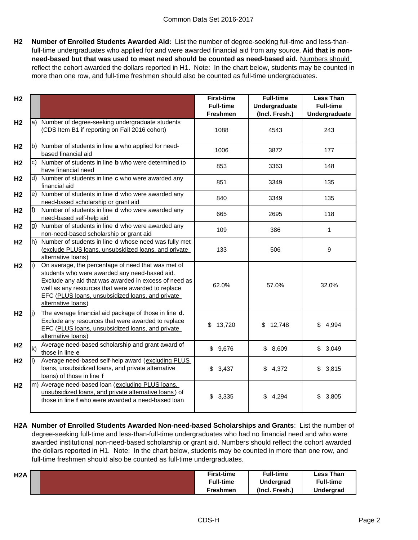**H2 Number of Enrolled Students Awarded Aid:** List the number of degree-seeking full-time and less-thanfull-time undergraduates who applied for and were awarded financial aid from any source. **Aid that is nonneed-based but that was used to meet need should be counted as need-based aid.** Numbers should reflect the cohort awarded the dollars reported in H1. Note: In the chart below, students may be counted in more than one row, and full-time freshmen should also be counted as full-time undergraduates.

| H <sub>2</sub> |     |                                                                                                                                                                                                                                                                                              | <b>First-time</b><br><b>Full-time</b><br><b>Freshmen</b> | <b>Full-time</b><br>Undergraduate<br>(Incl. Fresh.) | <b>Less Than</b><br><b>Full-time</b><br>Undergraduate |
|----------------|-----|----------------------------------------------------------------------------------------------------------------------------------------------------------------------------------------------------------------------------------------------------------------------------------------------|----------------------------------------------------------|-----------------------------------------------------|-------------------------------------------------------|
| H <sub>2</sub> |     | a) Number of degree-seeking undergraduate students<br>(CDS Item B1 if reporting on Fall 2016 cohort)                                                                                                                                                                                         | 1088                                                     | 4543                                                | 243                                                   |
| H <sub>2</sub> |     | b) Number of students in line a who applied for need-<br>based financial aid                                                                                                                                                                                                                 | 1006                                                     | 3872                                                | 177                                                   |
| H <sub>2</sub> |     | c) Number of students in line <b>b</b> who were determined to<br>have financial need                                                                                                                                                                                                         | 853                                                      | 3363                                                | 148                                                   |
| H <sub>2</sub> |     | d) Number of students in line c who were awarded any<br>financial aid                                                                                                                                                                                                                        | 851                                                      | 3349                                                | 135                                                   |
| H <sub>2</sub> |     | e) Number of students in line <b>d</b> who were awarded any<br>need-based scholarship or grant aid                                                                                                                                                                                           | 840                                                      | 3349                                                | 135                                                   |
| H <sub>2</sub> | f)  | Number of students in line d who were awarded any<br>need-based self-help aid                                                                                                                                                                                                                | 665                                                      | 2695                                                | 118                                                   |
| H <sub>2</sub> |     | g) Number of students in line d who were awarded any<br>non-need-based scholarship or grant aid                                                                                                                                                                                              | 109                                                      | 386                                                 | $\mathbf{1}$                                          |
| H <sub>2</sub> |     | h) Number of students in line <b>d</b> whose need was fully met<br>(exclude PLUS loans, unsubsidized loans, and private<br>alternative loans)                                                                                                                                                | 133                                                      | 506                                                 | 9                                                     |
| H <sub>2</sub> | li) | On average, the percentage of need that was met of<br>students who were awarded any need-based aid.<br>Exclude any aid that was awarded in excess of need as<br>well as any resources that were awarded to replace<br>EFC (PLUS loans, unsubsidized loans, and private<br>alternative loans) | 62.0%                                                    | 57.0%                                               | 32.0%                                                 |
| H <sub>2</sub> | li) | The average financial aid package of those in line d.<br>Exclude any resources that were awarded to replace<br>EFC (PLUS loans, unsubsidized loans, and private<br>alternative loans)                                                                                                        | \$<br>13,720                                             | \$<br>12,748                                        | \$<br>4,994                                           |
| H <sub>2</sub> | k)  | Average need-based scholarship and grant award of<br>those in line e                                                                                                                                                                                                                         | \$9,676                                                  | \$8,609                                             | \$3,049                                               |
| H <sub>2</sub> | I)  | Average need-based self-help award (excluding PLUS<br>loans, unsubsidized loans, and private alternative<br>loans) of those in line f                                                                                                                                                        | \$3,437                                                  | \$4,372                                             | \$3,815                                               |
| H <sub>2</sub> |     | m) Average need-based loan (excluding PLUS loans,<br>unsubsidized loans, and private alternative loans) of<br>those in line f who were awarded a need-based loan                                                                                                                             | 3,335<br>\$                                              | \$<br>4,294                                         | \$<br>3,805                                           |

**H2A Number of Enrolled Students Awarded Non-need-based Scholarships and Grants**: List the number of degree-seeking full-time and less-than-full-time undergraduates who had no financial need and who were awarded institutional non-need-based scholarship or grant aid. Numbers should reflect the cohort awarded the dollars reported in H1. Note: In the chart below, students may be counted in more than one row, and full-time freshmen should also be counted as full-time undergraduates.

| H2A | <b>First-time</b> | <b>Full-time</b> | Less Than        |
|-----|-------------------|------------------|------------------|
|     | <b>Full-time</b>  | Undergrad        | <b>Full-time</b> |
|     | <b>Freshmen</b>   | (Incl. Fresh.)   | Undergrad        |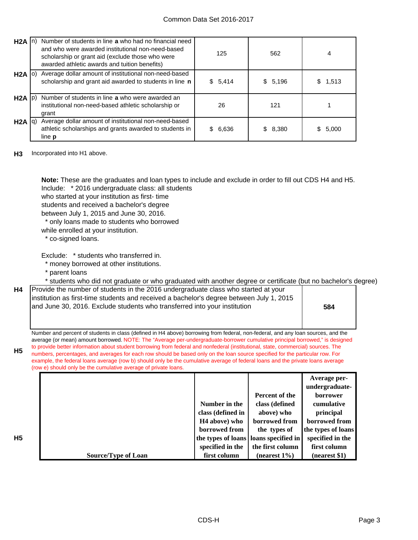| H2A               |     | Number of students in line a who had no financial need<br>and who were awarded institutional non-need-based<br>scholarship or grant aid (exclude those who were<br>awarded athletic awards and tuition benefits) | 125         | 562      | 4           |
|-------------------|-----|------------------------------------------------------------------------------------------------------------------------------------------------------------------------------------------------------------------|-------------|----------|-------------|
| H <sub>2</sub> A  | IO) | Average dollar amount of institutional non-need-based<br>scholarship and grant aid awarded to students in line n                                                                                                 | \$5,414     | \$5,196  | 1,513<br>S. |
| $H2A$ $ p\rangle$ |     | Number of students in line a who were awarded an<br>institutional non-need-based athletic scholarship or<br>grant                                                                                                | 26          | 121      |             |
| H2A  q            |     | Average dollar amount of institutional non-need-based<br>athletic scholarships and grants awarded to students in<br>line <b>p</b>                                                                                | 6,636<br>\$ | \$ 8,380 | \$5,000     |

**H3** Incorporated into H1 above.

Include: \* 2016 undergraduate class: all students **Note:** These are the graduates and loan types to include and exclude in order to fill out CDS H4 and H5.

who started at your institution as first- time students and received a bachelor's degree

between July 1, 2015 and June 30, 2016.

\* only loans made to students who borrowed

while enrolled at your institution.

\* co-signed loans.

Exclude: \* students who transferred in.

\* money borrowed at other institutions.

\* parent loans

\* students who did not graduate or who graduated with another degree or certificate (but no bachelor's degree)

| H4   Provide the number of students in the 2016 undergraduate class who started at your  |  |
|------------------------------------------------------------------------------------------|--|
| institution as first-time students and received a bachelor's degree between July 1, 2015 |  |
| and June 30, 2016. Exclude students who transferred into your institution                |  |

**584**

Number and percent of students in class (defined in H4 above) borrowing from federal, non-federal, and any loan sources, and the average (or mean) amount borrowed. NOTE: The "Average per-undergraduate-borrower cumulative principal borrowed," is designed to provide better information about student borrowing from federal and nonfederal (institutional, state, commercial) sources. The numbers, percentages, and averages for each row should be based only on the loan source specified for the particular row. For example, the federal loans average (row b) should only be the cumulative average of federal loans and the private loans average (row e) should only be the cumulative average of private loans.

|                            |                           |                                         | Average per-       |
|----------------------------|---------------------------|-----------------------------------------|--------------------|
|                            |                           |                                         | undergraduate-     |
|                            |                           | Percent of the                          | borrower           |
|                            | Number in the             | class (defined                          | cumulative         |
|                            | class (defined in         | above) who                              | principal          |
|                            | H <sub>4</sub> above) who | borrowed from                           | borrowed from      |
|                            | borrowed from             | the types of                            | the types of loans |
|                            |                           | the types of loans   loans specified in | specified in the   |
|                            | specified in the          | the first column                        | first column       |
| <b>Source/Type of Loan</b> | first column              | (nearest $1\%$ )                        | (nearest \$1)      |

**H5**

**H5**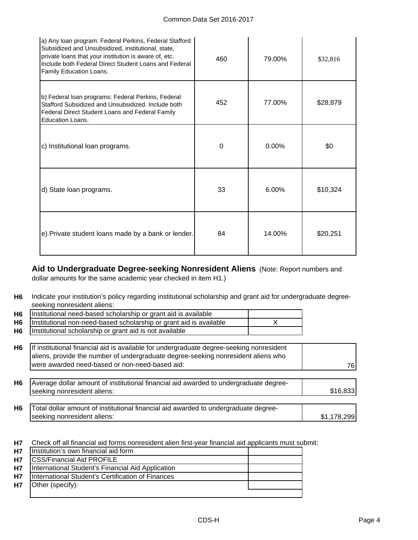| a) Any Ioan program: Federal Perkins, Federal Stafford<br>Subsidized and Unsubsidized, institutional, state,<br>private loans that your institution is aware of, etc.<br>Include both Federal Direct Student Loans and Federal<br>Family Education Loans. | 460 | 79.00%   | \$32,816 |
|-----------------------------------------------------------------------------------------------------------------------------------------------------------------------------------------------------------------------------------------------------------|-----|----------|----------|
| b) Federal loan programs: Federal Perkins, Federal<br>Stafford Subsidized and Unsubsidized. Include both<br>Federal Direct Student Loans and Federal Family<br>Education Loans.                                                                           | 452 | 77.00%   | \$28,879 |
| c) Institutional loan programs.                                                                                                                                                                                                                           | 0   | $0.00\%$ | \$0      |
| d) State loan programs.                                                                                                                                                                                                                                   | 33  | 6.00%    | \$10,324 |
| e) Private student loans made by a bank or lender.                                                                                                                                                                                                        | 84  | 14.00%   | \$20,251 |

**Aid to Undergraduate Degree-seeking Nonresident Aliens** (Note: Report numbers and dollar amounts for the same academic year checked in item H1.)

**H6** Indicate your institution's policy regarding institutional scholarship and grant aid for undergraduate degreeseeking nonresident aliens:

| <b>H6</b>      | Institutional need-based scholarship or grant aid is available     |  |
|----------------|--------------------------------------------------------------------|--|
| H <sub>6</sub> | Institutional non-need-based scholarship or grant aid is available |  |
| H <sub>6</sub> | Institutional scholarship or grant aid is not available            |  |
|                |                                                                    |  |

| H <sub>6</sub> | If institutional financial aid is available for undergraduate degree-seeking nonresident<br>aliens, provide the number of undergraduate degree-seeking nonresident aliens who |             |
|----------------|-------------------------------------------------------------------------------------------------------------------------------------------------------------------------------|-------------|
|                | were awarded need-based or non-need-based aid:                                                                                                                                | 76I         |
| H <sub>6</sub> | Average dollar amount of institutional financial aid awarded to undergraduate degree-<br>seeking nonresident aliens:                                                          | \$16,833    |
| H <sub>6</sub> | Total dollar amount of institutional financial aid awarded to undergraduate degree-<br>seeking nonresident aliens:                                                            | \$1,178,299 |

**H7** Check off all financial aid forms nonresident alien first-year financial aid applicants must submit:

| <b>H7</b> | Institution's own financial aid form              |  |
|-----------|---------------------------------------------------|--|
| <b>H7</b> | <b>CSS/Financial Aid PROFILE</b>                  |  |
| <b>H7</b> | International Student's Financial Aid Application |  |
| <b>H7</b> | International Student's Certification of Finances |  |
| <b>H7</b> | Other (specify):                                  |  |
|           |                                                   |  |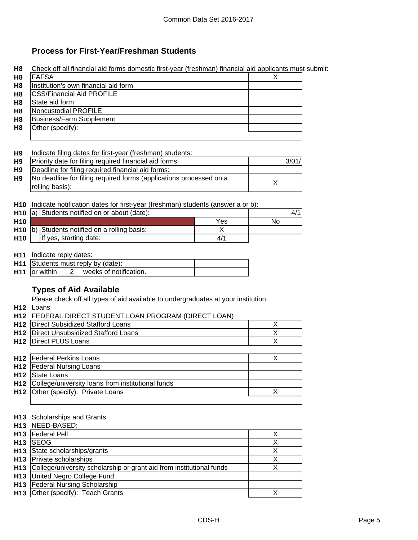## **Process for First-Year/Freshman Students**

**H8** Check off all financial aid forms domestic first-year (freshman) financial aid applicants must submit:

| H8             | <b>FAFSA</b>                         |  |
|----------------|--------------------------------------|--|
| H <sub>8</sub> | Institution's own financial aid form |  |
| H <sub>8</sub> | <b>CSS/Financial Aid PROFILE</b>     |  |
| H <sub>8</sub> | State aid form                       |  |
| H <sub>8</sub> | Noncustodial PROFILE                 |  |
| H8             | <b>Business/Farm Supplement</b>      |  |
| H8             | Other (specify):                     |  |
|                |                                      |  |

#### **H9** Indicate filing dates for first-year (freshman) students:

| H9        | Priority date for filing required financial aid forms:                                | 3/01/ |
|-----------|---------------------------------------------------------------------------------------|-------|
| <b>H9</b> | Deadline for filing required financial aid forms:                                     |       |
| H9        | No deadline for filing required forms (applications processed on a<br>rolling basis): |       |

**H10** Indicate notification dates for first-year (freshman) students (answer a or b):

|                 | H <sub>10</sub> a) Students notified on or about (date): |                                                          | 4/  |    |
|-----------------|----------------------------------------------------------|----------------------------------------------------------|-----|----|
| H <sub>10</sub> |                                                          |                                                          | Yes | N٥ |
|                 |                                                          | H <sub>10</sub> b) Students notified on a rolling basis: |     |    |
| H <sub>10</sub> |                                                          | If yes, starting date:                                   | '/4 |    |

**H11** Indicate reply dates:

| <b>H11</b> Students must reply by (date): |  |
|-------------------------------------------|--|
| $H11$ or within<br>weeks of notification. |  |

## **Types of Aid Available**

Please check off all types of aid available to undergraduates at your institution:

**H12** Loans

| <b>H12 FEDERAL DIRECT STUDENT LOAN PROGRAM (DIRECT LOAN)</b> |  |
|--------------------------------------------------------------|--|
| <b>H12</b> Direct Subsidized Stafford Loans                  |  |

| HTZ TDIICUL SUDSIUIZCU SIAIIUIU LUAIIS        |  |
|-----------------------------------------------|--|
| <b>H12</b> Direct Unsubsidized Stafford Loans |  |
| H12 Direct PLUS Loans                         |  |
|                                               |  |

| <b>H12</b> Federal Perkins Loans                      |  |
|-------------------------------------------------------|--|
| <b>H12</b> Federal Nursing Loans                      |  |
| H <sub>12</sub> State Loans                           |  |
| H12 College/university loans from institutional funds |  |
| H12 Other (specify): Private Loans                    |  |
|                                                       |  |

### **H13** Scholarships and Grants

|                 | H13 NEED-BASED:                                                          |   |
|-----------------|--------------------------------------------------------------------------|---|
| H <sub>13</sub> | <b>Federal Pell</b>                                                      |   |
| H <sub>13</sub> | <b>ISEOG</b>                                                             |   |
|                 | H13 State scholarships/grants                                            |   |
|                 | H13 Private scholarships                                                 | X |
|                 | H13 College/university scholarship or grant aid from institutional funds |   |
|                 | H13 United Negro College Fund                                            |   |
| H <sub>13</sub> | <b>Federal Nursing Scholarship</b>                                       |   |
|                 | H13 Other (specify): Teach Grants                                        |   |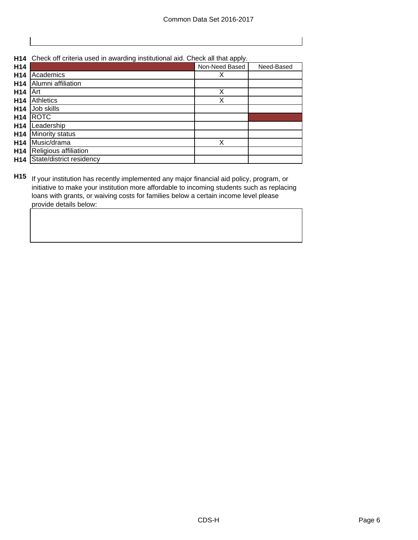**H14** Check off criteria used in awarding institutional aid. Check all that apply.

| H14             |                          | Non-Need Based | Need-Based |
|-----------------|--------------------------|----------------|------------|
| H14             | Academics                | х              |            |
| H <sub>14</sub> | Alumni affiliation       |                |            |
| H <sub>14</sub> | Art                      | Χ              |            |
| H14             | <b>Athletics</b>         | Χ              |            |
| H <sub>14</sub> | Job skills               |                |            |
| H <sub>14</sub> | <b>ROTC</b>              |                |            |
| H <sub>14</sub> | Leadership               |                |            |
| H <sub>14</sub> | Minority status          |                |            |
| H <sub>14</sub> | Music/drama              | X              |            |
| H <sub>14</sub> | Religious affiliation    |                |            |
| H <sub>14</sub> | State/district residency |                |            |

**H15** If your institution has recently implemented any major financial aid policy, program, or initiative to make your institution more affordable to incoming students such as replacing loans with grants, or waiving costs for families below a certain income level please provide details below: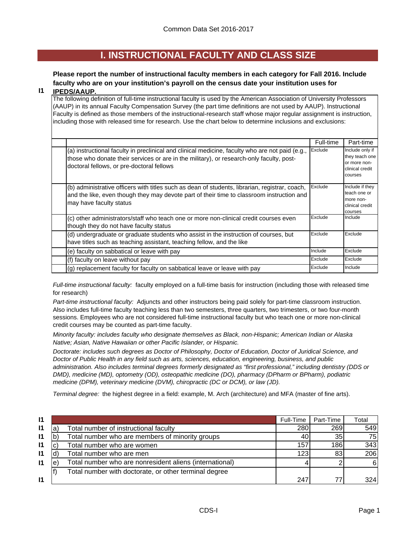## **I. INSTRUCTIONAL FACULTY AND CLASS SIZE**

## **Please report the number of instructional faculty members in each category for Fall 2016. Include faculty who are on your institution's payroll on the census date your institution uses for**

#### **I1 IPEDS/AAUP.**

The following definition of full-time instructional faculty is used by the American Association of University Professors (AAUP) in its annual Faculty Compensation Survey (the part time definitions are not used by AAUP). Instructional Faculty is defined as those members of the instructional-research staff whose major regular assignment is instruction, including those with released time for research. Use the chart below to determine inclusions and exclusions:

|                                                                                                                                                                                                                                          | Full-time | Part-time                                                                       |
|------------------------------------------------------------------------------------------------------------------------------------------------------------------------------------------------------------------------------------------|-----------|---------------------------------------------------------------------------------|
| (a) instructional faculty in preclinical and clinical medicine, faculty who are not paid (e.g.,<br>those who donate their services or are in the military), or research-only faculty, post-<br>doctoral fellows, or pre-doctoral fellows | Exclude   | Include only if<br>they teach one<br>or more non-<br>clinical credit<br>courses |
| (b) administrative officers with titles such as dean of students, librarian, registrar, coach,<br>and the like, even though they may devote part of their time to classroom instruction and<br>may have faculty status                   | Exclude   | Include if they<br>teach one or<br>more non-<br>clinical credit<br>courses      |
| (c) other administrators/staff who teach one or more non-clinical credit courses even<br>though they do not have faculty status                                                                                                          | Exclude   | Include                                                                         |
| (d) undergraduate or graduate students who assist in the instruction of courses, but<br>have titles such as teaching assistant, teaching fellow, and the like                                                                            | Exclude   | Exclude                                                                         |
| (e) faculty on sabbatical or leave with pay                                                                                                                                                                                              | Include   | Exclude                                                                         |
| (f) faculty on leave without pay                                                                                                                                                                                                         | Exclude   | Exclude                                                                         |
| (g) replacement faculty for faculty on sabbatical leave or leave with pay                                                                                                                                                                | Exclude   | Include                                                                         |

*Full-time instructional faculty:* faculty employed on a full-time basis for instruction (including those with released time for research)

*Part-time instructional faculty:* Adjuncts and other instructors being paid solely for part-time classroom instruction. Also includes full-time faculty teaching less than two semesters, three quarters, two trimesters, or two four-month sessions. Employees who are not considered full-time instructional faculty but who teach one or more non-clinical credit courses may be counted as part-time faculty.

*Minority faculty: includes faculty who designate themselves as Black, non-Hispanic; American Indian or Alaska Native; Asian, Native Hawaiian or other Pacific Islander, or Hispanic.* 

*Doctorate: includes such degrees as Doctor of Philosophy, Doctor of Education, Doctor of Juridical Science, and Doctor of Public Health in any field such as arts, sciences, education, engineering, business, and public administration. Also includes terminal degrees formerly designated as "first professional," including dentistry (DDS or DMD), medicine (MD), optometry (OD), osteopathic medicine (DO), pharmacy (DPharm or BPharm), podiatric medicine (DPM), veterinary medicine (DVM), chiropractic (DC or DCM), or law (JD).*

*Terminal degree:* the highest degree in a field: example, M. Arch (architecture) and MFA (master of fine arts).

| $\mathsf{I}$ |   |                                                         | Full-Time | Part-Time | Total |
|--------------|---|---------------------------------------------------------|-----------|-----------|-------|
| $\mathsf{I}$ | a | Total number of instructional faculty                   | 280       | 269       | 549   |
| $\mathsf{I}$ |   | Total number who are members of minority groups         | 40        | 35        | 75    |
| $\mathsf{I}$ |   | Total number who are women                              | 157       | 186       | 343   |
| $\mathsf{I}$ |   | Total number who are men                                | 123       | 83        | 206   |
| $\mathsf{I}$ | е | Total number who are nonresident aliens (international) |           |           | 6I    |
|              |   | Total number with doctorate, or other terminal degree   |           |           |       |
| $\mathsf{I}$ |   |                                                         | 247       | 77        | 324   |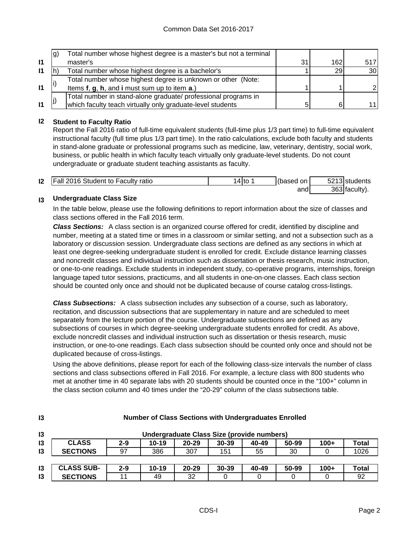|              | lg) | Total number whose highest degree is a master's but not a terminal |    |     |                 |
|--------------|-----|--------------------------------------------------------------------|----|-----|-----------------|
| $\mathbf{I}$ |     | master's                                                           | 31 | 162 | 517             |
| 11           |     | Total number whose highest degree is a bachelor's                  |    | 29  | 30 <sup>l</sup> |
|              |     | Total number whose highest degree is unknown or other (Note:       |    |     |                 |
| $\mathbf{I}$ |     | Items f, g, h, and i must sum up to item a.)                       |    |     |                 |
|              |     | Total number in stand-alone graduate/ professional programs in     |    |     |                 |
| $\mathbf{I}$ |     | which faculty teach virtually only graduate-level students         |    |     | 11 I            |

## **I2 Student to Faculty Ratio**

Report the Fall 2016 ratio of full-time equivalent students (full-time plus 1/3 part time) to full-time equivalent instructional faculty (full time plus 1/3 part time). In the ratio calculations, exclude both faculty and students in stand-alone graduate or professional programs such as medicine, law, veterinary, dentistry, social work, business, or public health in which faculty teach virtually only graduate-level students. Do not count undergraduate or graduate student teaching assistants as faculty.

| $\mathsf{I2}$ | <b>Fall 2016 Student to Faculty ratio</b> | 4 to | (based on | 5213 students |
|---------------|-------------------------------------------|------|-----------|---------------|
|               |                                           |      | and       | 363 faculty). |

#### **I3 Undergraduate Class Size**

**I3**

In the table below, please use the following definitions to report information about the size of classes and class sections offered in the Fall 2016 term.

*Class Sections:* A class section is an organized course offered for credit, identified by discipline and number, meeting at a stated time or times in a classroom or similar setting, and not a subsection such as a laboratory or discussion session. Undergraduate class sections are defined as any sections in which at least one degree-seeking undergraduate student is enrolled for credit. Exclude distance learning classes and noncredit classes and individual instruction such as dissertation or thesis research, music instruction, or one-to-one readings. Exclude students in independent study, co-operative programs, internships, foreign language taped tutor sessions, practicums, and all students in one-on-one classes. Each class section should be counted only once and should not be duplicated because of course catalog cross-listings.

*Class Subsections:* A class subsection includes any subsection of a course, such as laboratory, recitation, and discussion subsections that are supplementary in nature and are scheduled to meet separately from the lecture portion of the course. Undergraduate subsections are defined as any subsections of courses in which degree-seeking undergraduate students enrolled for credit. As above, exclude noncredit classes and individual instruction such as dissertation or thesis research, music instruction, or one-to-one readings. Each class subsection should be counted only once and should not be duplicated because of cross-listings.

Using the above definitions, please report for each of the following class-size intervals the number of class sections and class subsections offered in Fall 2016. For example, a lecture class with 800 students who met at another time in 40 separate labs with 20 students should be counted once in the "100+" column in the class section column and 40 times under the "20-29" column of the class subsections table.

| 13              | Undergraduate Class Size (provide numbers) |         |           |           |           |       |       |        |              |
|-----------------|--------------------------------------------|---------|-----------|-----------|-----------|-------|-------|--------|--------------|
| 13              | <b>CLASS</b>                               | $2 - 9$ | 10-19     | $20 - 29$ | $30 - 39$ | 40-49 | 50-99 | $100+$ | Total        |
| $\mathsf{I}3$   | <b>SECTIONS</b>                            | 97      | 386       | 307       | 151       | 55    | 30    |        | 1026         |
|                 |                                            |         |           |           |           |       |       |        |              |
| $\overline{3}$  | <b>CLASS SUB-</b>                          | 2-9     | $10 - 19$ | $20 - 29$ | 30-39     | 40-49 | 50-99 | $100+$ | <b>Total</b> |
| $\overline{13}$ | <b>SECTIONS</b>                            |         | 49        | 32        |           |       |       |        | 92           |

### **Number of Class Sections with Undergraduates Enrolled**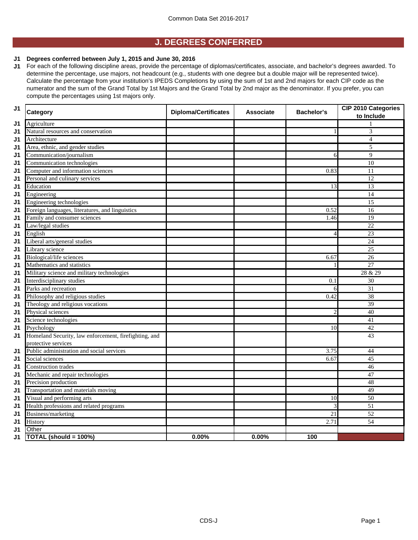## **J. DEGREES CONFERRED**

#### **J1 Degrees conferred between July 1, 2015 and June 30, 2016**

**J1** For each of the following discipline areas, provide the percentage of diplomas/certificates, associate, and bachelor's degrees awarded. To determine the percentage, use majors, not headcount (e.g., students with one degree but a double major will be represented twice). Calculate the percentage from your institution's IPEDS Completions by using the sum of 1st and 2nd majors for each CIP code as the numerator and the sum of the Grand Total by 1st Majors and the Grand Total by 2nd major as the denominator. If you prefer, you can compute the percentages using 1st majors only.

| J <sub>1</sub> | <b>Category</b>                                       | <b>Diploma/Certificates</b> | <b>Associate</b> | <b>Bachelor's</b>        | <b>CIP 2010 Categories</b><br>to Include |
|----------------|-------------------------------------------------------|-----------------------------|------------------|--------------------------|------------------------------------------|
| J1             | Agriculture                                           |                             |                  |                          |                                          |
| J1             | Natural resources and conservation                    |                             |                  |                          | 3                                        |
| J1             | Architecture                                          |                             |                  |                          | $\overline{4}$                           |
| J1             | Area, ethnic, and gender studies                      |                             |                  |                          | 5                                        |
| J1             | Communication/journalism                              |                             |                  | 6                        | 9                                        |
| J1             | Communication technologies                            |                             |                  |                          | $\overline{10}$                          |
| J1             | Computer and information sciences                     |                             |                  | 0.83                     | 11                                       |
| J1             | Personal and culinary services                        |                             |                  |                          | 12                                       |
| J1             | Education                                             |                             |                  | 13                       | $\overline{13}$                          |
| J1             | Engineering                                           |                             |                  |                          | $\overline{14}$                          |
| J1             | Engineering technologies                              |                             |                  |                          | 15                                       |
| J1             | Foreign languages, literatures, and linguistics       |                             |                  | 0.52                     | 16                                       |
| J1             | Family and consumer sciences                          |                             |                  | 1.46                     | $\overline{19}$                          |
| J1             | Law/legal studies                                     |                             |                  |                          | $\overline{22}$                          |
| J1             | English                                               |                             |                  | $\overline{\mathcal{A}}$ | $\overline{23}$                          |
| J1             | Liberal arts/general studies                          |                             |                  |                          | 24                                       |
| J1             | Library science                                       |                             |                  |                          | $\overline{25}$                          |
| J1             | Biological/life sciences                              |                             |                  | 6.67                     | $\overline{26}$                          |
| J1             | Mathematics and statistics                            |                             |                  |                          | $\overline{27}$                          |
| J1             | Military science and military technologies            |                             |                  |                          | 28 & 29                                  |
| J1             | Interdisciplinary studies                             |                             |                  | 0.1                      | 30                                       |
| J1             | Parks and recreation                                  |                             |                  | 6                        | $\overline{31}$                          |
| J1             | Philosophy and religious studies                      |                             |                  | 0.42                     | $\overline{38}$                          |
| J1             | Theology and religious vocations                      |                             |                  |                          | 39                                       |
| J1             | Physical sciences                                     |                             |                  | 2                        | 40                                       |
| J1             | Science technologies                                  |                             |                  |                          | $\overline{41}$                          |
| J1             | Psychology                                            |                             |                  | 10                       | 42                                       |
| J1             | Homeland Security, law enforcement, firefighting, and |                             |                  |                          | 43                                       |
|                | protective services                                   |                             |                  |                          |                                          |
| J1             | Public administration and social services             |                             |                  | 3.75                     | 44                                       |
| J1             | Social sciences                                       |                             |                  | 6.67                     | 45                                       |
| J1             | <b>Construction trades</b>                            |                             |                  |                          | 46                                       |
| J1             | Mechanic and repair technologies                      |                             |                  |                          | 47                                       |
| J1             | Precision production                                  |                             |                  |                          | 48                                       |
| J1             | Transportation and materials moving                   |                             |                  |                          | 49                                       |
| J1             | Visual and performing arts                            |                             |                  | 10                       | 50                                       |
| J1             | Health professions and related programs               |                             |                  | 3                        | $\overline{51}$                          |
| J1             | Business/marketing                                    |                             |                  | $\overline{21}$          | 52                                       |
| J1             | History                                               |                             |                  | 2.71                     | 54                                       |
| J1             | Other                                                 |                             |                  |                          |                                          |
| J1             | TOTAL (should = 100%)                                 | 0.00%                       | 0.00%            | 100                      |                                          |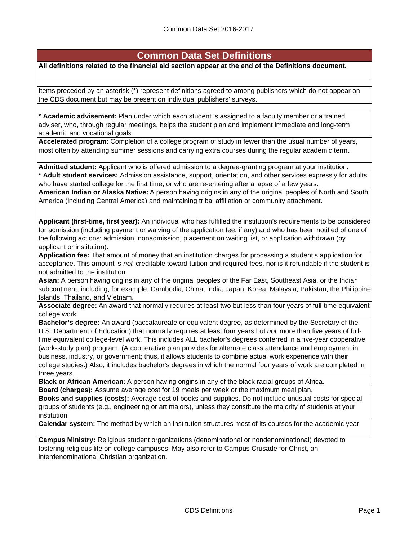## **Common Data Set Definitions**

#### **All definitions related to the financial aid section appear at the end of the Definitions document.**

Items preceded by an asterisk (\*) represent definitions agreed to among publishers which do not appear on the CDS document but may be present on individual publishers' surveys.

**\* Academic advisement:** Plan under which each student is assigned to a faculty member or a trained adviser, who, through regular meetings, helps the student plan and implement immediate and long-term academic and vocational goals.

**Accelerated program:** Completion of a college program of study in fewer than the usual number of years, most often by attending summer sessions and carrying extra courses during the regular academic term**.**

**Admitted student:** Applicant who is offered admission to a degree-granting program at your institution.

**\* Adult student services:** Admission assistance, support, orientation, and other services expressly for adults who have started college for the first time, or who are re-entering after a lapse of a few years.

**American Indian or Alaska Native:** A person having origins in any of the original peoples of North and South America (including Central America) and maintaining tribal affiliation or community attachment.

**Applicant (first-time, first year):** An individual who has fulfilled the institution's requirements to be considered for admission (including payment or waiving of the application fee, if any) and who has been notified of one of the following actions: admission, nonadmission, placement on waiting list, or application withdrawn (by applicant or institution).

**Application fee:** That amount of money that an institution charges for processing a student's application for acceptance. This amount is *not* creditable toward tuition and required fees, nor is it refundable if the student is not admitted to the institution.

**Asian:** A person having origins in any of the original peoples of the Far East, Southeast Asia, or the Indian subcontinent, including, for example, Cambodia, China, India, Japan, Korea, Malaysia, Pakistan, the Philippine Islands, Thailand, and Vietnam.

**Associate degree:** An award that normally requires at least two but less than four years of full-time equivalent college work.

**Bachelor's degree:** An award (baccalaureate or equivalent degree, as determined by the Secretary of the U.S. Department of Education) that normally requires at least four years but *not* more than five years of fulltime equivalent college-level work. This includes ALL bachelor's degrees conferred in a five-year cooperative (work-study plan) program. (A cooperative plan provides for alternate class attendance and employment in business, industry, or government; thus, it allows students to combine actual work experience with their college studies.) Also, it includes bachelor's degrees in which the normal four years of work are completed in three years.

**Black or African American:** A person having origins in any of the black racial groups of Africa. **Board (charges):** Assume average cost for 19 meals per week or the maximum meal plan.

**Books and supplies (costs):** Average cost of books and supplies. Do not include unusual costs for special groups of students (e.g., engineering or art majors), unless they constitute the majority of students at your institution.

**Calendar system:** The method by which an institution structures most of its courses for the academic year.

**Campus Ministry:** Religious student organizations (denominational or nondenominational) devoted to fostering religious life on college campuses. May also refer to Campus Crusade for Christ, an interdenominational Christian organization.